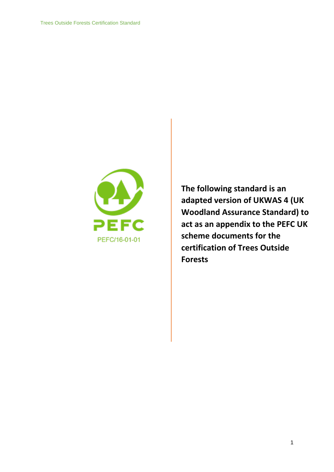

**The following standard is an adapted version of UKWAS 4 (UK Woodland Assurance Standard) to act as an appendix to the PEFC UK scheme documents for the certification of Trees Outside Forests**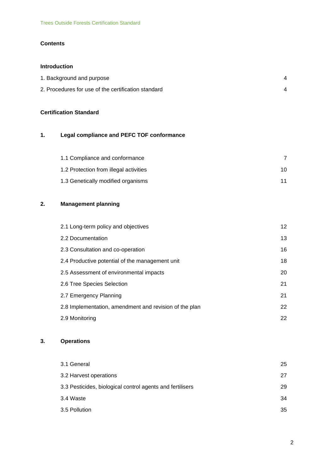### **Contents**

### **Introduction**

| 1. Background and purpose                           |  |
|-----------------------------------------------------|--|
| 2. Procedures for use of the certification standard |  |

### **Certification Standard**

# **1. Legal compliance and PEFC TOF conformance**

| 1.1 Compliance and conformance         |    |
|----------------------------------------|----|
| 1.2 Protection from illegal activities | 10 |
| 1.3 Genetically modified organisms     | 11 |

# **2. Management planning**

| 2.1 Long-term policy and objectives                    | 12 <sup>2</sup> |
|--------------------------------------------------------|-----------------|
| 2.2 Documentation                                      | 13              |
| 2.3 Consultation and co-operation                      | 16              |
| 2.4 Productive potential of the management unit        | 18              |
| 2.5 Assessment of environmental impacts                | 20              |
| 2.6 Tree Species Selection                             | 21              |
| 2.7 Emergency Planning                                 | 21              |
| 2.8 Implementation, amendment and revision of the plan | 22              |
| 2.9 Monitoring                                         | 22              |

## **3. Operations**

| 25 |
|----|
| 27 |
| 29 |
| 34 |
| 35 |
|    |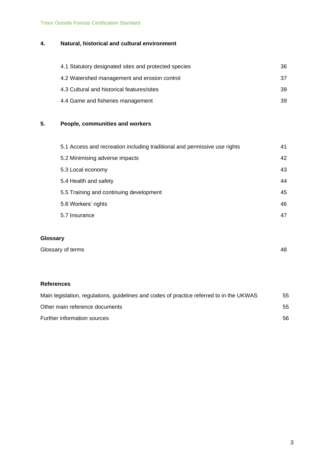Trees Outside Forests Certification Standard

# **4. Natural, historical and cultural environment**

| 4.1 Statutory designated sites and protected species | 36 |
|------------------------------------------------------|----|
| 4.2 Watershed management and erosion control         | 37 |
| 4.3 Cultural and historical features/sites           | 39 |
| 4.4 Game and fisheries management                    | 39 |

# **5. People, communities and workers**

| 5.1 Access and recreation including traditional and permissive use rights | 41 |
|---------------------------------------------------------------------------|----|
| 5.2 Minimising adverse impacts                                            | 42 |
| 5.3 Local economy                                                         | 43 |
| 5.4 Health and safety                                                     | 44 |
| 5.5 Training and continuing development                                   | 45 |
| 5.6 Workers' rights                                                       | 46 |
| 5.7 Insurance                                                             | 47 |
|                                                                           |    |

# **Glossary**

### **References**

| Main legislation, regulations, guidelines and codes of practice referred to in the UKWAS | 55 |
|------------------------------------------------------------------------------------------|----|
| Other main reference documents                                                           | 55 |
| Further information sources                                                              | 56 |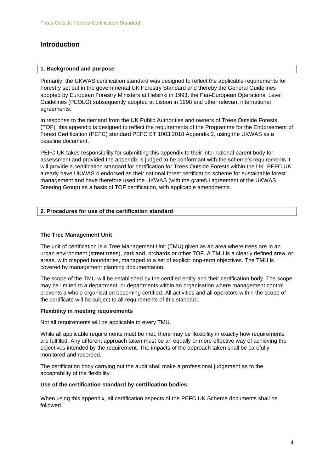## **Introduction**

#### **1. Background and purpose**

Primarily, the UKWAS certification standard was designed to reflect the applicable requirements for Forestry set out in the governmental UK Forestry Standard and thereby the General Guidelines adopted by European Forestry Ministers at Helsinki in 1993, the Pan-European Operational Level Guidelines (PEOLG) subsequently adopted at Lisbon in 1998 and other relevant international agreements.

In response to the demand from the UK Public Authorities and owners of Trees Outside Forests (TOF), this appendix is designed to reflect the requirements of the Programme for the Endorsement of Forest Certification (PEFC) standard PEFC ST 1003:2018 Appendix 2, using the UKWAS as a baseline document.

PEFC UK takes responsibility for submitting this appendix to their international parent body for assessment and provided the appendix is judged to be conformant with the scheme's requirements it will provide a certification standard for certification for Trees Outside Forests within the UK. PEFC UK already have UKWAS 4 endorsed as their national forest certification scheme for sustainable forest management and have therefore used the UKWAS (with the grateful agreement of the UKWAS Steering Group) as a basis of TOF certification, with applicable amendments

### **2. Procedures for use of the certification standard**

#### **The Tree Management Unit**

The unit of certification is a Tree Management Unit (TMU) given as an area where trees are in an urban environment (street trees), parkland, orchards or other TOF. A TMU is a clearly defined area, or areas, with mapped boundaries, managed to a set of explicit long-term objectives. The TMU is covered by management planning documentation.

The scope of the TMU will be established by the certified entity and their certification body. The scope may be limited to a department, or departments within an organisation where management control prevents a whole organisation becoming certified. All activities and all operators within the scope of the certificate will be subject to all requirements of this standard.

#### **Flexibility in meeting requirements**

Not all requirements will be applicable to every TMU.

While all applicable requirements must be met, there may be flexibility in exactly how requirements are fulfilled. Any different approach taken must be an equally or more effective way of achieving the objectives intended by the requirement. The impacts of the approach taken shall be carefully monitored and recorded.

The certification body carrying out the audit shall make a professional judgement as to the acceptability of the flexibility.

#### **Use of the certification standard by certification bodies**

When using this appendix, all certification aspects of the PEFC UK Scheme documents shall be followed.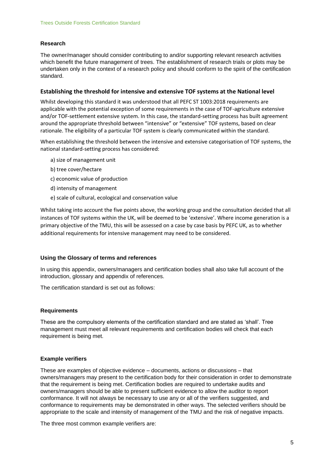### **Research**

The owner/manager should consider contributing to and/or supporting relevant research activities which benefit the future management of trees. The establishment of research trials or plots may be undertaken only in the context of a research policy and should conform to the spirit of the certification standard.

#### **Establishing the threshold for intensive and extensive TOF systems at the National level**

Whilst developing this standard it was understood that all PEFC ST 1003:2018 requirements are applicable with the potential exception of some requirements in the case of TOF-agriculture extensive and/or TOF-settlement extensive system. In this case, the standard-setting process has built agreement around the appropriate threshold between "intensive" or "extensive" TOF systems, based on clear rationale. The eligibility of a particular TOF system is clearly communicated within the standard.

When establishing the threshold between the intensive and extensive categorisation of TOF systems, the national standard-setting process has considered:

- a) size of management unit
- b) tree cover/hectare
- c) economic value of production
- d) intensity of management
- e) scale of cultural, ecological and conservation value

Whilst taking into account the five points above, the working group and the consultation decided that all instances of TOF systems within the UK, will be deemed to be 'extensive'. Where income generation is a primary objective of the TMU, this will be assessed on a case by case basis by PEFC UK, as to whether additional requirements for intensive management may need to be considered.

#### **Using the Glossary of terms and references**

In using this appendix, owners/managers and certification bodies shall also take full account of the introduction, glossary and appendix of references.

The certification standard is set out as follows:

#### **Requirements**

These are the compulsory elements of the certification standard and are stated as 'shall'. Tree management must meet all relevant requirements and certification bodies will check that each requirement is being met.

#### **Example verifiers**

These are examples of objective evidence – documents, actions or discussions – that owners/managers may present to the certification body for their consideration in order to demonstrate that the requirement is being met. Certification bodies are required to undertake audits and owners/managers should be able to present sufficient evidence to allow the auditor to report conformance. It will not always be necessary to use any or all of the verifiers suggested, and conformance to requirements may be demonstrated in other ways. The selected verifiers should be appropriate to the scale and intensity of management of the TMU and the risk of negative impacts.

The three most common example verifiers are: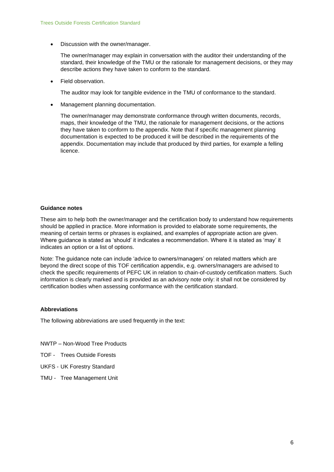• Discussion with the owner/manager.

The owner/manager may explain in conversation with the auditor their understanding of the standard, their knowledge of the TMU or the rationale for management decisions, or they may describe actions they have taken to conform to the standard.

• Field observation.

The auditor may look for tangible evidence in the TMU of conformance to the standard.

• Management planning documentation.

The owner/manager may demonstrate conformance through written documents, records, maps, their knowledge of the TMU, the rationale for management decisions, or the actions they have taken to conform to the appendix. Note that if specific management planning documentation is expected to be produced it will be described in the requirements of the appendix. Documentation may include that produced by third parties, for example a felling licence.

#### **Guidance notes**

These aim to help both the owner/manager and the certification body to understand how requirements should be applied in practice. More information is provided to elaborate some requirements, the meaning of certain terms or phrases is explained, and examples of appropriate action are given. Where guidance is stated as 'should' it indicates a recommendation. Where it is stated as 'may' it indicates an option or a list of options.

Note: The guidance note can include 'advice to owners/managers' on related matters which are beyond the direct scope of this TOF certification appendix, e.g. owners/managers are advised to check the specific requirements of PEFC UK in relation to chain-of-custody certification matters. Such information is clearly marked and is provided as an advisory note only: it shall not be considered by certification bodies when assessing conformance with the certification standard.

#### **Abbreviations**

The following abbreviations are used frequently in the text:

- NWTP Non-Wood Tree Products
- TOF Trees Outside Forests
- UKFS UK Forestry Standard
- TMU Tree Management Unit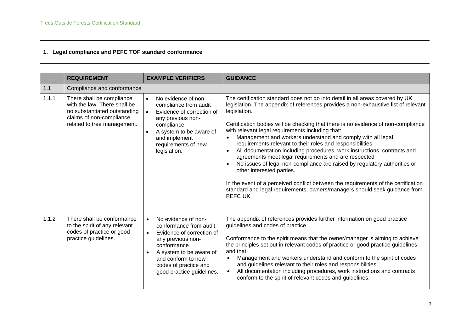# **1. Legal compliance and PEFC TOF standard conformance**

|       | <b>REQUIREMENT</b>                                                                                                                                   | <b>EXAMPLE VERIFIERS</b>                                                                                                                                                                                                                                     | <b>GUIDANCE</b>                                                                                                                                                                                                                                                                                                                                                                                                                                                                                                                                                                                                                                                                                                                                                                                                                                                                                    |
|-------|------------------------------------------------------------------------------------------------------------------------------------------------------|--------------------------------------------------------------------------------------------------------------------------------------------------------------------------------------------------------------------------------------------------------------|----------------------------------------------------------------------------------------------------------------------------------------------------------------------------------------------------------------------------------------------------------------------------------------------------------------------------------------------------------------------------------------------------------------------------------------------------------------------------------------------------------------------------------------------------------------------------------------------------------------------------------------------------------------------------------------------------------------------------------------------------------------------------------------------------------------------------------------------------------------------------------------------------|
| 1.1   | Compliance and conformance                                                                                                                           |                                                                                                                                                                                                                                                              |                                                                                                                                                                                                                                                                                                                                                                                                                                                                                                                                                                                                                                                                                                                                                                                                                                                                                                    |
| 1.1.1 | There shall be compliance<br>with the law. There shall be<br>no substantiated outstanding<br>claims of non-compliance<br>related to tree management. | No evidence of non-<br>$\bullet$<br>compliance from audit<br>Evidence of correction of<br>$\bullet$<br>any previous non-<br>compliance<br>A system to be aware of<br>and implement<br>requirements of new<br>legislation.                                    | The certification standard does not go into detail in all areas covered by UK<br>legislation. The appendix of references provides a non-exhaustive list of relevant<br>legislation.<br>Certification bodies will be checking that there is no evidence of non-compliance<br>with relevant legal requirements including that:<br>Management and workers understand and comply with all legal<br>requirements relevant to their roles and responsibilities<br>All documentation including procedures, work instructions, contracts and<br>$\bullet$<br>agreements meet legal requirements and are respected<br>No issues of legal non-compliance are raised by regulatory authorities or<br>other interested parties.<br>In the event of a perceived conflict between the requirements of the certification<br>standard and legal requirements, owners/managers should seek guidance from<br>PEFC UK |
| 1.1.2 | There shall be conformance<br>to the spirit of any relevant<br>codes of practice or good<br>practice guidelines.                                     | No evidence of non-<br>$\bullet$<br>conformance from audit<br>Evidence of correction of<br>$\bullet$<br>any previous non-<br>conformance<br>A system to be aware of<br>$\bullet$<br>and conform to new<br>codes of practice and<br>good practice guidelines. | The appendix of references provides further information on good practice<br>guidelines and codes of practice.<br>Conformance to the spirit means that the owner/manager is aiming to achieve<br>the principles set out in relevant codes of practice or good practice guidelines<br>and that:<br>Management and workers understand and conform to the spirit of codes<br>and guidelines relevant to their roles and responsibilities<br>All documentation including procedures, work instructions and contracts<br>$\bullet$<br>conform to the spirit of relevant codes and guidelines.                                                                                                                                                                                                                                                                                                            |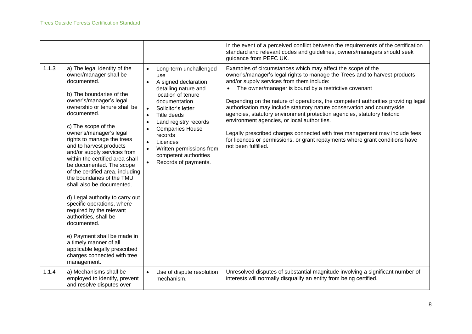|       |                                                                                                                                                                                                                                                                                                                                                                                                                                                                                                                                                                                                                                                                                                                                                                 |                                                                                                                                                                                                                                                                                                                                                                                                                          | In the event of a perceived conflict between the requirements of the certification<br>standard and relevant codes and guidelines, owners/managers should seek<br>guidance from PEFC UK.                                                                                                                                                                                                                                                                                                                                                                                                                                                                                                                                      |
|-------|-----------------------------------------------------------------------------------------------------------------------------------------------------------------------------------------------------------------------------------------------------------------------------------------------------------------------------------------------------------------------------------------------------------------------------------------------------------------------------------------------------------------------------------------------------------------------------------------------------------------------------------------------------------------------------------------------------------------------------------------------------------------|--------------------------------------------------------------------------------------------------------------------------------------------------------------------------------------------------------------------------------------------------------------------------------------------------------------------------------------------------------------------------------------------------------------------------|------------------------------------------------------------------------------------------------------------------------------------------------------------------------------------------------------------------------------------------------------------------------------------------------------------------------------------------------------------------------------------------------------------------------------------------------------------------------------------------------------------------------------------------------------------------------------------------------------------------------------------------------------------------------------------------------------------------------------|
| 1.1.3 | a) The legal identity of the<br>owner/manager shall be<br>documented.<br>b) The boundaries of the<br>owner's/manager's legal<br>ownership or tenure shall be<br>documented.<br>c) The scope of the<br>owner's/manager's legal<br>rights to manage the trees<br>and to harvest products<br>and/or supply services from<br>within the certified area shall<br>be documented. The scope<br>of the certified area, including<br>the boundaries of the TMU<br>shall also be documented.<br>d) Legal authority to carry out<br>specific operations, where<br>required by the relevant<br>authorities, shall be<br>documented.<br>e) Payment shall be made in<br>a timely manner of all<br>applicable legally prescribed<br>charges connected with tree<br>management. | Long-term unchallenged<br>$\bullet$<br>use<br>A signed declaration<br>$\bullet$<br>detailing nature and<br>location of tenure<br>documentation<br>Solicitor's letter<br>$\bullet$<br>Title deeds<br>$\bullet$<br>Land registry records<br>$\bullet$<br><b>Companies House</b><br>records<br>Licences<br>$\bullet$<br>Written permissions from<br>$\bullet$<br>competent authorities<br>Records of payments.<br>$\bullet$ | Examples of circumstances which may affect the scope of the<br>owner's/manager's legal rights to manage the Trees and to harvest products<br>and/or supply services from them include:<br>The owner/manager is bound by a restrictive covenant<br>Depending on the nature of operations, the competent authorities providing legal<br>authorisation may include statutory nature conservation and countryside<br>agencies, statutory environment protection agencies, statutory historic<br>environment agencies, or local authorities.<br>Legally prescribed charges connected with tree management may include fees<br>for licences or permissions, or grant repayments where grant conditions have<br>not been fulfilled. |
| 1.1.4 | a) Mechanisms shall be<br>employed to identify, prevent<br>and resolve disputes over                                                                                                                                                                                                                                                                                                                                                                                                                                                                                                                                                                                                                                                                            | Use of dispute resolution<br>$\bullet$<br>mechanism.                                                                                                                                                                                                                                                                                                                                                                     | Unresolved disputes of substantial magnitude involving a significant number of<br>interests will normally disqualify an entity from being certified.                                                                                                                                                                                                                                                                                                                                                                                                                                                                                                                                                                         |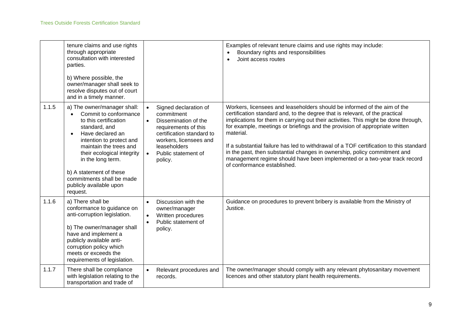|       | tenure claims and use rights<br>through appropriate<br>consultation with interested<br>parties.<br>b) Where possible, the<br>owner/manager shall seek to<br>resolve disputes out of court<br>and in a timely manner.                                                                                                       |                                                                                                                                                                                                                        | Examples of relevant tenure claims and use rights may include:<br>Boundary rights and responsibilities<br>Joint access routes                                                                                                                                                                                                                                                                                                                                                                                                                                                                                                  |
|-------|----------------------------------------------------------------------------------------------------------------------------------------------------------------------------------------------------------------------------------------------------------------------------------------------------------------------------|------------------------------------------------------------------------------------------------------------------------------------------------------------------------------------------------------------------------|--------------------------------------------------------------------------------------------------------------------------------------------------------------------------------------------------------------------------------------------------------------------------------------------------------------------------------------------------------------------------------------------------------------------------------------------------------------------------------------------------------------------------------------------------------------------------------------------------------------------------------|
| 1.1.5 | a) The owner/manager shall:<br>Commit to conformance<br>to this certification<br>standard, and<br>Have declared an<br>intention to protect and<br>maintain the trees and<br>their ecological integrity<br>in the long term.<br>b) A statement of these<br>commitments shall be made<br>publicly available upon<br>request. | Signed declaration of<br>commitment<br>Dissemination of the<br>$\bullet$<br>requirements of this<br>certification standard to<br>workers, licensees and<br>leaseholders<br>Public statement of<br>$\bullet$<br>policy. | Workers, licensees and leaseholders should be informed of the aim of the<br>certification standard and, to the degree that is relevant, of the practical<br>implications for them in carrying out their activities. This might be done through,<br>for example, meetings or briefings and the provision of appropriate written<br>material.<br>If a substantial failure has led to withdrawal of a TOF certification to this standard<br>in the past, then substantial changes in ownership, policy commitment and<br>management regime should have been implemented or a two-year track record<br>of conformance established. |
| 1.1.6 | a) There shall be<br>conformance to guidance on<br>anti-corruption legislation.<br>b) The owner/manager shall<br>have and implement a<br>publicly available anti-<br>corruption policy which<br>meets or exceeds the<br>requirements of legislation.                                                                       | Discussion with the<br>$\bullet$<br>owner/manager<br>Written procedures<br>$\bullet$<br>Public statement of<br>policy.                                                                                                 | Guidance on procedures to prevent bribery is available from the Ministry of<br>Justice.                                                                                                                                                                                                                                                                                                                                                                                                                                                                                                                                        |
| 1.1.7 | There shall be compliance<br>with legislation relating to the<br>transportation and trade of                                                                                                                                                                                                                               | Relevant procedures and<br>$\bullet$<br>records.                                                                                                                                                                       | The owner/manager should comply with any relevant phytosanitary movement<br>licences and other statutory plant health requirements.                                                                                                                                                                                                                                                                                                                                                                                                                                                                                            |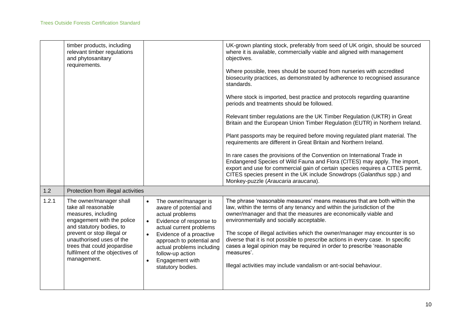|       | timber products, including<br>relevant timber regulations<br>and phytosanitary<br>requirements.                                                                                                                                                                            |                                                                                                                                                                                                                                                                                                                 | UK-grown planting stock, preferably from seed of UK origin, should be sourced<br>where it is available, commercially viable and aligned with management<br>objectives.                                                                                                                                                                                                                                                                                                                                                                                                                             |
|-------|----------------------------------------------------------------------------------------------------------------------------------------------------------------------------------------------------------------------------------------------------------------------------|-----------------------------------------------------------------------------------------------------------------------------------------------------------------------------------------------------------------------------------------------------------------------------------------------------------------|----------------------------------------------------------------------------------------------------------------------------------------------------------------------------------------------------------------------------------------------------------------------------------------------------------------------------------------------------------------------------------------------------------------------------------------------------------------------------------------------------------------------------------------------------------------------------------------------------|
|       |                                                                                                                                                                                                                                                                            |                                                                                                                                                                                                                                                                                                                 | Where possible, trees should be sourced from nurseries with accredited<br>biosecurity practices, as demonstrated by adherence to recognised assurance<br>standards.                                                                                                                                                                                                                                                                                                                                                                                                                                |
|       |                                                                                                                                                                                                                                                                            |                                                                                                                                                                                                                                                                                                                 | Where stock is imported, best practice and protocols regarding quarantine<br>periods and treatments should be followed.                                                                                                                                                                                                                                                                                                                                                                                                                                                                            |
|       |                                                                                                                                                                                                                                                                            |                                                                                                                                                                                                                                                                                                                 | Relevant timber regulations are the UK Timber Regulation (UKTR) in Great<br>Britain and the European Union Timber Regulation (EUTR) in Northern Ireland.                                                                                                                                                                                                                                                                                                                                                                                                                                           |
|       |                                                                                                                                                                                                                                                                            |                                                                                                                                                                                                                                                                                                                 | Plant passports may be required before moving regulated plant material. The<br>requirements are different in Great Britain and Northern Ireland.                                                                                                                                                                                                                                                                                                                                                                                                                                                   |
|       |                                                                                                                                                                                                                                                                            |                                                                                                                                                                                                                                                                                                                 | In rare cases the provisions of the Convention on International Trade in<br>Endangered Species of Wild Fauna and Flora (CITES) may apply. The import,<br>export and use for commercial gain of certain species requires a CITES permit.<br>CITES species present in the UK include Snowdrops (Galanthus spp.) and<br>Monkey-puzzle (Araucaria araucana).                                                                                                                                                                                                                                           |
| 1.2   | Protection from illegal activities                                                                                                                                                                                                                                         |                                                                                                                                                                                                                                                                                                                 |                                                                                                                                                                                                                                                                                                                                                                                                                                                                                                                                                                                                    |
| 1.2.1 | The owner/manager shall<br>take all reasonable<br>measures, including<br>engagement with the police<br>and statutory bodies, to<br>prevent or stop illegal or<br>unauthorised uses of the<br>trees that could jeopardise<br>fulfilment of the objectives of<br>management. | The owner/manager is<br>aware of potential and<br>actual problems<br>Evidence of response to<br>$\bullet$<br>actual current problems<br>Evidence of a proactive<br>$\bullet$<br>approach to potential and<br>actual problems including<br>follow-up action<br>Engagement with<br>$\bullet$<br>statutory bodies. | The phrase 'reasonable measures' means measures that are both within the<br>law, within the terms of any tenancy and within the jurisdiction of the<br>owner/manager and that the measures are economically viable and<br>environmentally and socially acceptable.<br>The scope of illegal activities which the owner/manager may encounter is so<br>diverse that it is not possible to prescribe actions in every case. In specific<br>cases a legal opinion may be required in order to prescribe 'reasonable<br>measures'.<br>Illegal activities may include vandalism or ant-social behaviour. |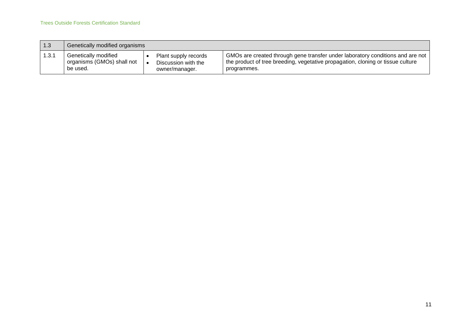| 1.3   | Genetically modified organisms |                      |                                                                                              |
|-------|--------------------------------|----------------------|----------------------------------------------------------------------------------------------|
| 1.3.1 | Genetically modified           | Plant supply records | $\mid$ GMOs are created through gene transfer under laboratory conditions and are not $\mid$ |
|       | organisms (GMOs) shall not     | Discussion with the  | the product of tree breeding, vegetative propagation, cloning or tissue culture              |
|       | be used.                       | owner/manager.       | programmes.                                                                                  |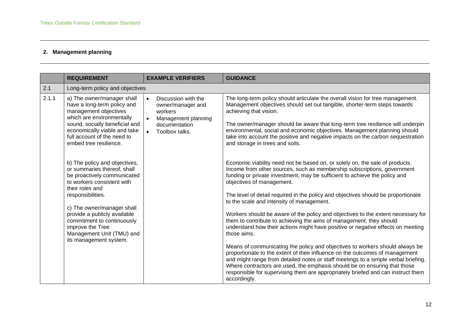# **2. Management planning**

|       | <b>REQUIREMENT</b>                                                                                                                                                                                                                                                                                                                                                                                                                                                                                                                                                                     | <b>EXAMPLE VERIFIERS</b>                                                                                                                             | <b>GUIDANCE</b>                                                                                                                                                                                                                                                                                                                                                                                                                                                                                                                                                                                                                                                                                                                                                                                                                                                                                                                                                                                                                                                                                                                                                                                                                                                                                                                                                                                                                                                                                                                                                                        |
|-------|----------------------------------------------------------------------------------------------------------------------------------------------------------------------------------------------------------------------------------------------------------------------------------------------------------------------------------------------------------------------------------------------------------------------------------------------------------------------------------------------------------------------------------------------------------------------------------------|------------------------------------------------------------------------------------------------------------------------------------------------------|----------------------------------------------------------------------------------------------------------------------------------------------------------------------------------------------------------------------------------------------------------------------------------------------------------------------------------------------------------------------------------------------------------------------------------------------------------------------------------------------------------------------------------------------------------------------------------------------------------------------------------------------------------------------------------------------------------------------------------------------------------------------------------------------------------------------------------------------------------------------------------------------------------------------------------------------------------------------------------------------------------------------------------------------------------------------------------------------------------------------------------------------------------------------------------------------------------------------------------------------------------------------------------------------------------------------------------------------------------------------------------------------------------------------------------------------------------------------------------------------------------------------------------------------------------------------------------------|
| 2.1   | Long-term policy and objectives                                                                                                                                                                                                                                                                                                                                                                                                                                                                                                                                                        |                                                                                                                                                      |                                                                                                                                                                                                                                                                                                                                                                                                                                                                                                                                                                                                                                                                                                                                                                                                                                                                                                                                                                                                                                                                                                                                                                                                                                                                                                                                                                                                                                                                                                                                                                                        |
| 2.1.1 | a) The owner/manager shall<br>have a long-term policy and<br>management objectives<br>which are environmentally<br>sound, socially beneficial and<br>economically viable and take<br>full account of the need to<br>embed tree resilience.<br>b) The policy and objectives,<br>or summaries thereof, shall<br>be proactively communicated<br>to workers consistent with<br>their roles and<br>responsibilities.<br>c) The owner/manager shall<br>provide a publicly available<br>commitment to continuously<br>improve the Tree<br>Management Unit (TMU) and<br>its management system. | Discussion with the<br>$\bullet$<br>owner/manager and<br>workers<br>Management planning<br>$\bullet$<br>documentation<br>$\bullet$<br>Toolbox talks. | The long-term policy should articulate the overall vision for tree management.<br>Management objectives should set out tangible, shorter-term steps towards<br>achieving that vision.<br>The owner/manager should be aware that long-term tree resilience will underpin<br>environmental, social and economic objectives. Management planning should<br>take into account the positive and negative impacts on the carbon sequestration<br>and storage in trees and soils.<br>Economic viability need not be based on, or solely on, the sale of products.<br>Income from other sources, such as membership subscriptions, government<br>funding or private investment, may be sufficient to achieve the policy and<br>objectives of management.<br>The level of detail required in the policy and objectives should be proportionate<br>to the scale and intensity of management.<br>Workers should be aware of the policy and objectives to the extent necessary for<br>them to contribute to achieving the aims of management; they should<br>understand how their actions might have positive or negative effects on meeting<br>those aims.<br>Means of communicating the policy and objectives to workers should always be<br>proportionate to the extent of their influence on the outcomes of management<br>and might range from detailed notes or staff meetings to a simple verbal briefing.<br>Where contractors are used, the emphasis should be on ensuring that those<br>responsible for supervising them are appropriately briefed and can instruct them<br>accordingly. |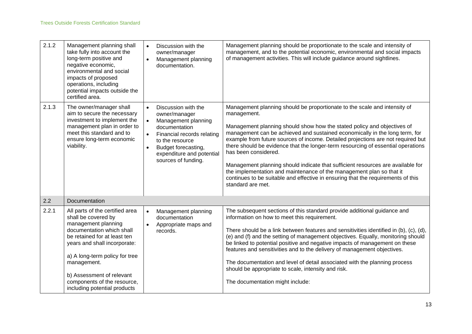| 2.1.2 | Management planning shall<br>take fully into account the<br>long-term positive and<br>negative economic,<br>environmental and social<br>impacts of proposed<br>operations, including<br>potential impacts outside the<br>certified area.                                                                                | Discussion with the<br>$\bullet$<br>owner/manager<br>Management planning<br>$\bullet$<br>documentation.                                                                                                                            | Management planning should be proportionate to the scale and intensity of<br>management, and to the potential economic, environmental and social impacts<br>of management activities. This will include guidance around sightlines.                                                                                                                                                                                                                                                                                                                                                                                                                                                                                    |
|-------|-------------------------------------------------------------------------------------------------------------------------------------------------------------------------------------------------------------------------------------------------------------------------------------------------------------------------|------------------------------------------------------------------------------------------------------------------------------------------------------------------------------------------------------------------------------------|------------------------------------------------------------------------------------------------------------------------------------------------------------------------------------------------------------------------------------------------------------------------------------------------------------------------------------------------------------------------------------------------------------------------------------------------------------------------------------------------------------------------------------------------------------------------------------------------------------------------------------------------------------------------------------------------------------------------|
| 2.1.3 | The owner/manager shall<br>aim to secure the necessary<br>investment to implement the<br>management plan in order to<br>meet this standard and to<br>ensure long-term economic<br>viability.                                                                                                                            | Discussion with the<br>$\bullet$<br>owner/manager<br>Management planning<br>documentation<br>Financial records relating<br>to the resource<br>Budget forecasting,<br>$\bullet$<br>expenditure and potential<br>sources of funding. | Management planning should be proportionate to the scale and intensity of<br>management.<br>Management planning should show how the stated policy and objectives of<br>management can be achieved and sustained economically in the long term, for<br>example from future sources of income. Detailed projections are not required but<br>there should be evidence that the longer-term resourcing of essential operations<br>has been considered.<br>Management planning should indicate that sufficient resources are available for<br>the implementation and maintenance of the management plan so that it<br>continues to be suitable and effective in ensuring that the requirements of this<br>standard are met. |
| 2.2   | Documentation                                                                                                                                                                                                                                                                                                           |                                                                                                                                                                                                                                    |                                                                                                                                                                                                                                                                                                                                                                                                                                                                                                                                                                                                                                                                                                                        |
| 2.2.1 | All parts of the certified area<br>shall be covered by<br>management planning<br>documentation which shall<br>be retained for at least ten<br>years and shall incorporate:<br>a) A long-term policy for tree<br>management.<br>b) Assessment of relevant<br>components of the resource,<br>including potential products | Management planning<br>$\bullet$<br>documentation<br>Appropriate maps and<br>records.                                                                                                                                              | The subsequent sections of this standard provide additional guidance and<br>information on how to meet this requirement.<br>There should be a link between features and sensitivities identified in (b), (c), (d),<br>(e) and (f) and the setting of management objectives. Equally, monitoring should<br>be linked to potential positive and negative impacts of management on these<br>features and sensitivities and to the delivery of management objectives.<br>The documentation and level of detail associated with the planning process<br>should be appropriate to scale, intensity and risk.<br>The documentation might include:                                                                             |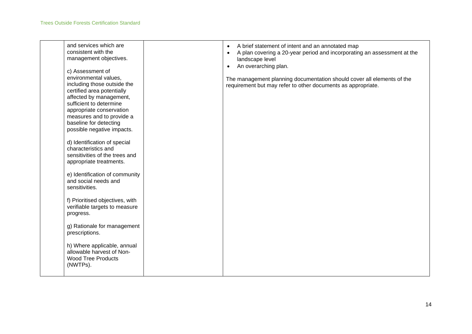| and services which are<br>consistent with the<br>management objectives.<br>c) Assessment of<br>environmental values,<br>including those outside the<br>certified area potentially<br>affected by management,<br>sufficient to determine<br>appropriate conservation<br>measures and to provide a<br>baseline for detecting<br>possible negative impacts.<br>d) Identification of special<br>characteristics and<br>sensitivities of the trees and<br>appropriate treatments.<br>e) Identification of community<br>and social needs and<br>sensitivities.<br>f) Prioritised objectives, with<br>verifiable targets to measure<br>progress.<br>g) Rationale for management<br>prescriptions.<br>h) Where applicable, annual<br>allowable harvest of Non-<br><b>Wood Tree Products</b> | A brief statement of intent and an annotated map<br>$\bullet$<br>A plan covering a 20-year period and incorporating an assessment at the<br>$\bullet$<br>landscape level<br>An overarching plan.<br>$\bullet$<br>The management planning documentation should cover all elements of the<br>requirement but may refer to other documents as appropriate. |  |
|-------------------------------------------------------------------------------------------------------------------------------------------------------------------------------------------------------------------------------------------------------------------------------------------------------------------------------------------------------------------------------------------------------------------------------------------------------------------------------------------------------------------------------------------------------------------------------------------------------------------------------------------------------------------------------------------------------------------------------------------------------------------------------------|---------------------------------------------------------------------------------------------------------------------------------------------------------------------------------------------------------------------------------------------------------------------------------------------------------------------------------------------------------|--|
| (NWTPs).                                                                                                                                                                                                                                                                                                                                                                                                                                                                                                                                                                                                                                                                                                                                                                            |                                                                                                                                                                                                                                                                                                                                                         |  |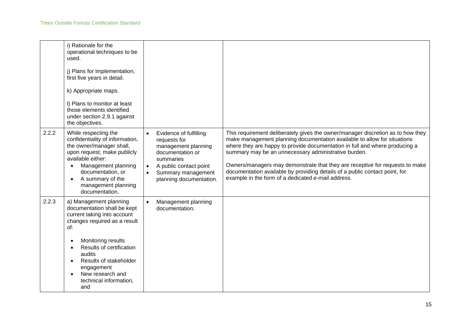|       | i) Rationale for the<br>operational techniques to be<br>used.<br>j) Plans for implementation,<br>first five years in detail.<br>k) Appropriate maps.<br>I) Plans to monitor at least<br>those elements identified<br>under section 2.9.1 against<br>the objectives.                  |                                                                                                                                                                                                                  |                                                                                                                                                                                                                                                                                                                                                                                                                                                                                                                         |
|-------|--------------------------------------------------------------------------------------------------------------------------------------------------------------------------------------------------------------------------------------------------------------------------------------|------------------------------------------------------------------------------------------------------------------------------------------------------------------------------------------------------------------|-------------------------------------------------------------------------------------------------------------------------------------------------------------------------------------------------------------------------------------------------------------------------------------------------------------------------------------------------------------------------------------------------------------------------------------------------------------------------------------------------------------------------|
| 2.2.2 | While respecting the<br>confidentiality of information,<br>the owner/manager shall,<br>upon request, make publicly<br>available either:<br>Management planning<br>$\bullet$<br>documentation, or<br>A summary of the<br>management planning<br>documentation.                        | Evidence of fulfilling<br>$\bullet$<br>requests for<br>management planning<br>documentation or<br>summaries<br>A public contact point<br>$\bullet$<br>Summary management<br>$\bullet$<br>planning documentation. | This requirement deliberately gives the owner/manager discretion as to how they<br>make management planning documentation available to allow for situations<br>where they are happy to provide documentation in full and where producing a<br>summary may be an unnecessary administrative burden.<br>Owners/managers may demonstrate that they are receptive for requests to make<br>documentation available by providing details of a public contact point, for<br>example in the form of a dedicated e-mail address. |
| 2.2.3 | a) Management planning<br>documentation shall be kept<br>current taking into account<br>changes required as a result<br>of:<br>Monitoring results<br>Results of certification<br>audits<br>Results of stakeholder<br>engagement<br>New research and<br>technical information,<br>and | Management planning<br>$\bullet$<br>documentation.                                                                                                                                                               |                                                                                                                                                                                                                                                                                                                                                                                                                                                                                                                         |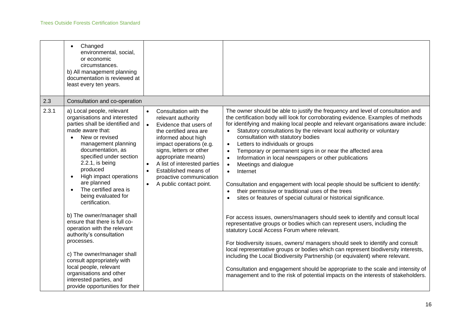|       | Changed<br>$\bullet$<br>environmental, social,<br>or economic<br>circumstances.<br>b) All management planning<br>documentation is reviewed at<br>least every ten years.                                                                                                                                                                                                                                                                                                                                                                                                                                                                                                       |                                                                                                                                                                                                                                                                                                                                                                                   |                                                                                                                                                                                                                                                                                                                                                                                                                                                                                                                                                                                                                                                                                                                                                                                                                                                                                                                                                                                                                                                                                                                                                                                                                                                                                                                                                                                                                                                        |
|-------|-------------------------------------------------------------------------------------------------------------------------------------------------------------------------------------------------------------------------------------------------------------------------------------------------------------------------------------------------------------------------------------------------------------------------------------------------------------------------------------------------------------------------------------------------------------------------------------------------------------------------------------------------------------------------------|-----------------------------------------------------------------------------------------------------------------------------------------------------------------------------------------------------------------------------------------------------------------------------------------------------------------------------------------------------------------------------------|--------------------------------------------------------------------------------------------------------------------------------------------------------------------------------------------------------------------------------------------------------------------------------------------------------------------------------------------------------------------------------------------------------------------------------------------------------------------------------------------------------------------------------------------------------------------------------------------------------------------------------------------------------------------------------------------------------------------------------------------------------------------------------------------------------------------------------------------------------------------------------------------------------------------------------------------------------------------------------------------------------------------------------------------------------------------------------------------------------------------------------------------------------------------------------------------------------------------------------------------------------------------------------------------------------------------------------------------------------------------------------------------------------------------------------------------------------|
| 2.3   | Consultation and co-operation                                                                                                                                                                                                                                                                                                                                                                                                                                                                                                                                                                                                                                                 |                                                                                                                                                                                                                                                                                                                                                                                   |                                                                                                                                                                                                                                                                                                                                                                                                                                                                                                                                                                                                                                                                                                                                                                                                                                                                                                                                                                                                                                                                                                                                                                                                                                                                                                                                                                                                                                                        |
| 2.3.1 | a) Local people, relevant<br>organisations and interested<br>parties shall be identified and<br>made aware that:<br>New or revised<br>management planning<br>documentation, as<br>specified under section<br>$2.2.1$ , is being<br>produced<br>High impact operations<br>are planned<br>The certified area is<br>being evaluated for<br>certification.<br>b) The owner/manager shall<br>ensure that there is full co-<br>operation with the relevant<br>authority's consultation<br>processes.<br>c) The owner/manager shall<br>consult appropriately with<br>local people, relevant<br>organisations and other<br>interested parties, and<br>provide opportunities for their | Consultation with the<br>$\bullet$<br>relevant authority<br>Evidence that users of<br>$\bullet$<br>the certified area are<br>informed about high<br>impact operations (e.g.<br>signs, letters or other<br>appropriate means)<br>A list of interested parties<br>$\bullet$<br>Established means of<br>$\bullet$<br>proactive communication<br>A public contact point.<br>$\bullet$ | The owner should be able to justify the frequency and level of consultation and<br>the certification body will look for corroborating evidence. Examples of methods<br>for identifying and making local people and relevant organisations aware include:<br>Statutory consultations by the relevant local authority or voluntary<br>consultation with statutory bodies<br>Letters to individuals or groups<br>$\bullet$<br>Temporary or permanent signs in or near the affected area<br>Information in local newspapers or other publications<br>Meetings and dialogue<br>Internet<br>$\bullet$<br>Consultation and engagement with local people should be sufficient to identify:<br>their permissive or traditional uses of the trees<br>sites or features of special cultural or historical significance.<br>For access issues, owners/managers should seek to identify and consult local<br>representative groups or bodies which can represent users, including the<br>statutory Local Access Forum where relevant.<br>For biodiversity issues, owners/ managers should seek to identify and consult<br>local representative groups or bodies which can represent biodiversity interests,<br>including the Local Biodiversity Partnership (or equivalent) where relevant.<br>Consultation and engagement should be appropriate to the scale and intensity of<br>management and to the risk of potential impacts on the interests of stakeholders. |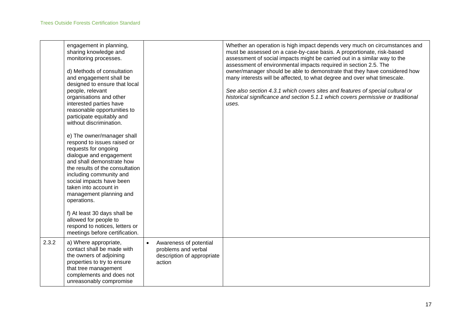|       | engagement in planning,<br>sharing knowledge and<br>monitoring processes.<br>d) Methods of consultation<br>and engagement shall be<br>designed to ensure that local<br>people, relevant<br>organisations and other<br>interested parties have<br>reasonable opportunities to<br>participate equitably and<br>without discrimination.<br>e) The owner/manager shall<br>respond to issues raised or<br>requests for ongoing<br>dialogue and engagement<br>and shall demonstrate how<br>the results of the consultation<br>including community and<br>social impacts have been<br>taken into account in<br>management planning and<br>operations.<br>f) At least 30 days shall be<br>allowed for people to<br>respond to notices, letters or<br>meetings before certification. |                                                                                       | Whether an operation is high impact depends very much on circumstances and<br>must be assessed on a case-by-case basis. A proportionate, risk-based<br>assessment of social impacts might be carried out in a similar way to the<br>assessment of environmental impacts required in section 2.5. The<br>owner/manager should be able to demonstrate that they have considered how<br>many interests will be affected, to what degree and over what timescale.<br>See also section 4.3.1 which covers sites and features of special cultural or<br>historical significance and section 5.1.1 which covers permissive or traditional<br>uses. |
|-------|-----------------------------------------------------------------------------------------------------------------------------------------------------------------------------------------------------------------------------------------------------------------------------------------------------------------------------------------------------------------------------------------------------------------------------------------------------------------------------------------------------------------------------------------------------------------------------------------------------------------------------------------------------------------------------------------------------------------------------------------------------------------------------|---------------------------------------------------------------------------------------|---------------------------------------------------------------------------------------------------------------------------------------------------------------------------------------------------------------------------------------------------------------------------------------------------------------------------------------------------------------------------------------------------------------------------------------------------------------------------------------------------------------------------------------------------------------------------------------------------------------------------------------------|
| 2.3.2 | a) Where appropriate,<br>contact shall be made with<br>the owners of adjoining<br>properties to try to ensure<br>that tree management<br>complements and does not<br>unreasonably compromise                                                                                                                                                                                                                                                                                                                                                                                                                                                                                                                                                                                | Awareness of potential<br>problems and verbal<br>description of appropriate<br>action |                                                                                                                                                                                                                                                                                                                                                                                                                                                                                                                                                                                                                                             |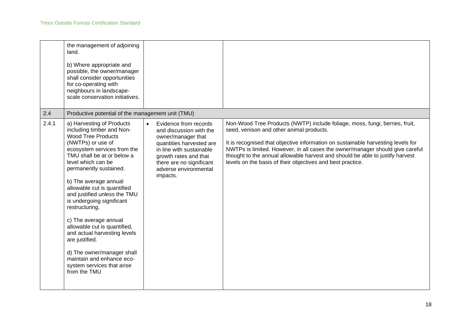|       | the management of adjoining<br>land.<br>b) Where appropriate and<br>possible, the owner/manager<br>shall consider opportunities<br>for co-operating with<br>neighbours in landscape-<br>scale conservation initiatives.                                                                                                                                                                                                                                                                                                                                                          |                                                                                                                                                                                                                                       |                                                                                                                                                                                                                                                                                                                                                                                                                                             |
|-------|----------------------------------------------------------------------------------------------------------------------------------------------------------------------------------------------------------------------------------------------------------------------------------------------------------------------------------------------------------------------------------------------------------------------------------------------------------------------------------------------------------------------------------------------------------------------------------|---------------------------------------------------------------------------------------------------------------------------------------------------------------------------------------------------------------------------------------|---------------------------------------------------------------------------------------------------------------------------------------------------------------------------------------------------------------------------------------------------------------------------------------------------------------------------------------------------------------------------------------------------------------------------------------------|
| 2.4   | Productive potential of the management unit (TMU)                                                                                                                                                                                                                                                                                                                                                                                                                                                                                                                                |                                                                                                                                                                                                                                       |                                                                                                                                                                                                                                                                                                                                                                                                                                             |
| 2.4.1 | a) Harvesting of Products<br>including timber and Non-<br><b>Wood Tree Products</b><br>(NWTPs) or use of<br>ecosystem services from the<br>TMU shall be at or below a<br>level which can be<br>permanently sustained.<br>b) The average annual<br>allowable cut is quantified<br>and justified unless the TMU<br>is undergoing significant<br>restructuring.<br>c) The average annual<br>allowable cut is quantified,<br>and actual harvesting levels<br>are justified.<br>d) The owner/manager shall<br>maintain and enhance eco-<br>system services that arise<br>from the TMU | Evidence from records<br>$\bullet$<br>and discussion with the<br>owner/manager that<br>quantities harvested are<br>in line with sustainable<br>growth rates and that<br>there are no significant<br>adverse environmental<br>impacts. | Non-Wood Tree Products (NWTP) include foliage, moss, fungi, berries, fruit,<br>seed, venison and other animal products.<br>It is recognised that objective information on sustainable harvesting levels for<br>NWTPs is limited. However, in all cases the owner/manager should give careful<br>thought to the annual allowable harvest and should be able to justify harvest<br>levels on the basis of their objectives and best practice. |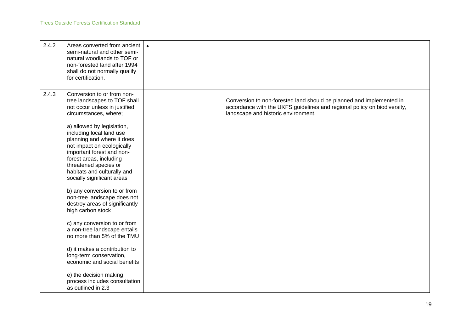| 2.4.2 | Areas converted from ancient<br>semi-natural and other semi-<br>natural woodlands to TOF or<br>non-forested land after 1994<br>shall do not normally qualify<br>for certification.                                                                                                                                                                                                                                                                                                                                                                                                                                                                                                                                                                                                        |                                                                                                                                                                                         |
|-------|-------------------------------------------------------------------------------------------------------------------------------------------------------------------------------------------------------------------------------------------------------------------------------------------------------------------------------------------------------------------------------------------------------------------------------------------------------------------------------------------------------------------------------------------------------------------------------------------------------------------------------------------------------------------------------------------------------------------------------------------------------------------------------------------|-----------------------------------------------------------------------------------------------------------------------------------------------------------------------------------------|
| 2.4.3 | Conversion to or from non-<br>tree landscapes to TOF shall<br>not occur unless in justified<br>circumstances, where;<br>a) allowed by legislation,<br>including local land use<br>planning and where it does<br>not impact on ecologically<br>important forest and non-<br>forest areas, including<br>threatened species or<br>habitats and culturally and<br>socially significant areas<br>b) any conversion to or from<br>non-tree landscape does not<br>destroy areas of significantly<br>high carbon stock<br>c) any conversion to or from<br>a non-tree landscape entails<br>no more than 5% of the TMU<br>d) it makes a contribution to<br>long-term conservation,<br>economic and social benefits<br>e) the decision making<br>process includes consultation<br>as outlined in 2.3 | Conversion to non-forested land should be planned and implemented in<br>accordance with the UKFS guidelines and regional policy on biodiversity,<br>landscape and historic environment. |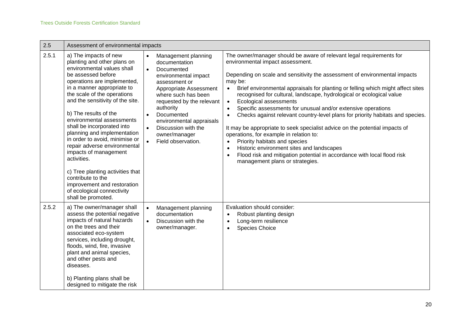| 2.5   | Assessment of environmental impacts                                                                                                                                                                                                                                                                                                                                                                                                                                                                                                                                                                               |                                                                                                                                                                                                                                                                                                                                                    |                                                                                                                                                                                                                                                                                                                                                                                                                                                                                                                                                                                                                                                                                                                                                                                                                                                                                                                                                           |
|-------|-------------------------------------------------------------------------------------------------------------------------------------------------------------------------------------------------------------------------------------------------------------------------------------------------------------------------------------------------------------------------------------------------------------------------------------------------------------------------------------------------------------------------------------------------------------------------------------------------------------------|----------------------------------------------------------------------------------------------------------------------------------------------------------------------------------------------------------------------------------------------------------------------------------------------------------------------------------------------------|-----------------------------------------------------------------------------------------------------------------------------------------------------------------------------------------------------------------------------------------------------------------------------------------------------------------------------------------------------------------------------------------------------------------------------------------------------------------------------------------------------------------------------------------------------------------------------------------------------------------------------------------------------------------------------------------------------------------------------------------------------------------------------------------------------------------------------------------------------------------------------------------------------------------------------------------------------------|
| 2.5.1 | a) The impacts of new<br>planting and other plans on<br>environmental values shall<br>be assessed before<br>operations are implemented,<br>in a manner appropriate to<br>the scale of the operations<br>and the sensitivity of the site.<br>b) The results of the<br>environmental assessments<br>shall be incorporated into<br>planning and implementation<br>in order to avoid, minimise or<br>repair adverse environmental<br>impacts of management<br>activities.<br>c) Tree planting activities that<br>contribute to the<br>improvement and restoration<br>of ecological connectivity<br>shall be promoted. | Management planning<br>$\bullet$<br>documentation<br>$\bullet$<br>Documented<br>environmental impact<br>assessment or<br>Appropriate Assessment<br>where such has been<br>requested by the relevant<br>authority<br>Documented<br>$\bullet$<br>environmental appraisals<br>Discussion with the<br>$\bullet$<br>owner/manager<br>Field observation. | The owner/manager should be aware of relevant legal requirements for<br>environmental impact assessment.<br>Depending on scale and sensitivity the assessment of environmental impacts<br>may be:<br>Brief environmental appraisals for planting or felling which might affect sites<br>$\bullet$<br>recognised for cultural, landscape, hydrological or ecological value<br>Ecological assessments<br>$\bullet$<br>Specific assessments for unusual and/or extensive operations<br>$\bullet$<br>Checks against relevant country-level plans for priority habitats and species.<br>$\bullet$<br>It may be appropriate to seek specialist advice on the potential impacts of<br>operations, for example in relation to:<br>Priority habitats and species<br>$\bullet$<br>Historic environment sites and landscapes<br>$\bullet$<br>Flood risk and mitigation potential in accordance with local flood risk<br>$\bullet$<br>management plans or strategies. |
| 2.5.2 | a) The owner/manager shall<br>assess the potential negative<br>impacts of natural hazards<br>on the trees and their<br>associated eco-system<br>services, including drought,<br>floods, wind, fire, invasive<br>plant and animal species,<br>and other pests and<br>diseases.<br>b) Planting plans shall be<br>designed to mitigate the risk                                                                                                                                                                                                                                                                      | Management planning<br>$\bullet$<br>documentation<br>Discussion with the<br>$\bullet$<br>owner/manager.                                                                                                                                                                                                                                            | Evaluation should consider:<br>Robust planting design<br>$\bullet$<br>Long-term resilience<br>$\bullet$<br>Species Choice<br>$\bullet$                                                                                                                                                                                                                                                                                                                                                                                                                                                                                                                                                                                                                                                                                                                                                                                                                    |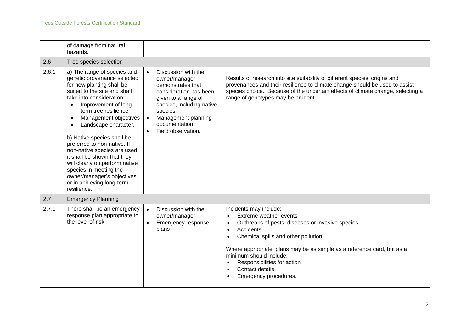|       | of damage from natural<br>hazards.                                                                                                                                                                                                                                                                                                                                                                                                                                                                                                              |                                                                                                                                                                                                                               |                                                                                                                                                                                                                                                                                                                                                                                                                          |
|-------|-------------------------------------------------------------------------------------------------------------------------------------------------------------------------------------------------------------------------------------------------------------------------------------------------------------------------------------------------------------------------------------------------------------------------------------------------------------------------------------------------------------------------------------------------|-------------------------------------------------------------------------------------------------------------------------------------------------------------------------------------------------------------------------------|--------------------------------------------------------------------------------------------------------------------------------------------------------------------------------------------------------------------------------------------------------------------------------------------------------------------------------------------------------------------------------------------------------------------------|
| 2.6   | Tree species selection                                                                                                                                                                                                                                                                                                                                                                                                                                                                                                                          |                                                                                                                                                                                                                               |                                                                                                                                                                                                                                                                                                                                                                                                                          |
| 2.6.1 | a) The range of species and<br>genetic provenance selected<br>for new planting shall be<br>suited to the site and shall<br>take into consideration:<br>Improvement of long-<br>$\bullet$<br>term tree resilience<br>Management objectives<br>$\bullet$<br>Landscape character.<br>b) Native species shall be<br>preferred to non-native. If<br>non-native species are used<br>it shall be shown that they<br>will clearly outperform native<br>species in meeting the<br>owner/manager's objectives<br>or in achieving long-term<br>resilience. | Discussion with the<br>$\bullet$<br>owner/manager<br>demonstrates that<br>consideration has been<br>given to a range of<br>species, including native<br>species<br>Management planning<br>documentation<br>Field observation. | Results of research into site suitability of different species' origins and<br>provenances and their resilience to climate change should be used to assist<br>species choice. Because of the uncertain effects of climate change, selecting a<br>range of genotypes may be prudent.                                                                                                                                      |
| 2.7   | <b>Emergency Planning</b>                                                                                                                                                                                                                                                                                                                                                                                                                                                                                                                       |                                                                                                                                                                                                                               |                                                                                                                                                                                                                                                                                                                                                                                                                          |
| 2.7.1 | There shall be an emergency<br>response plan appropriate to<br>the level of risk.                                                                                                                                                                                                                                                                                                                                                                                                                                                               | Discussion with the<br>$\bullet$<br>owner/manager<br>Emergency response<br>$\bullet$<br>plans                                                                                                                                 | Incidents may include:<br>Extreme weather events<br>$\bullet$<br>Outbreaks of pests, diseases or invasive species<br>$\bullet$<br>Accidents<br>$\bullet$<br>Chemical spills and other pollution.<br>$\bullet$<br>Where appropriate, plans may be as simple as a reference card, but as a<br>minimum should include:<br>Responsibilities for action<br>$\bullet$<br>Contact details<br>$\bullet$<br>Emergency procedures. |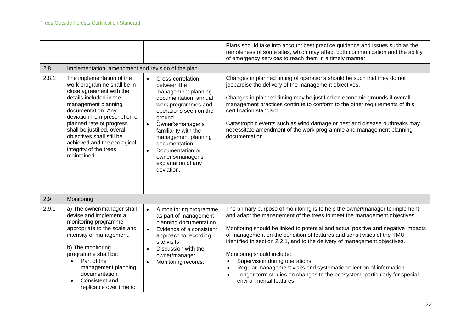|       |                                                                                                                                                                                                                                                                                                                                                               |                                                                                                                                                                                                                                                                                                                                                       | Plans should take into account best practice guidance and issues such as the<br>remoteness of some sites, which may affect both communication and the ability<br>of emergency services to reach them in a timely manner.                                                                                                                                                                                                                                                                                                                                                                                                                                                     |
|-------|---------------------------------------------------------------------------------------------------------------------------------------------------------------------------------------------------------------------------------------------------------------------------------------------------------------------------------------------------------------|-------------------------------------------------------------------------------------------------------------------------------------------------------------------------------------------------------------------------------------------------------------------------------------------------------------------------------------------------------|------------------------------------------------------------------------------------------------------------------------------------------------------------------------------------------------------------------------------------------------------------------------------------------------------------------------------------------------------------------------------------------------------------------------------------------------------------------------------------------------------------------------------------------------------------------------------------------------------------------------------------------------------------------------------|
| 2.8   | Implementation, amendment and revision of the plan                                                                                                                                                                                                                                                                                                            |                                                                                                                                                                                                                                                                                                                                                       |                                                                                                                                                                                                                                                                                                                                                                                                                                                                                                                                                                                                                                                                              |
| 2.8.1 | The implementation of the<br>work programme shall be in<br>close agreement with the<br>details included in the<br>management planning<br>documentation. Any<br>deviation from prescription or<br>planned rate of progress<br>shall be justified, overall<br>objectives shall still be<br>achieved and the ecological<br>integrity of the trees<br>maintained. | Cross-correlation<br>$\bullet$<br>between the<br>management planning<br>documentation, annual<br>work programmes and<br>operations seen on the<br>ground<br>Owner's/manager's<br>$\bullet$<br>familiarity with the<br>management planning<br>documentation.<br>Documentation or<br>$\bullet$<br>owner's/manager's<br>explanation of any<br>deviation. | Changes in planned timing of operations should be such that they do not<br>jeopardise the delivery of the management objectives.<br>Changes in planned timing may be justified on economic grounds if overall<br>management practices continue to conform to the other requirements of this<br>certification standard.<br>Catastrophic events such as wind damage or pest and disease outbreaks may<br>necessitate amendment of the work programme and management planning<br>documentation.                                                                                                                                                                                 |
| 2.9   | Monitoring                                                                                                                                                                                                                                                                                                                                                    |                                                                                                                                                                                                                                                                                                                                                       |                                                                                                                                                                                                                                                                                                                                                                                                                                                                                                                                                                                                                                                                              |
| 2.9.1 | a) The owner/manager shall<br>devise and implement a<br>monitoring programme<br>appropriate to the scale and<br>intensity of management.<br>b) The monitoring<br>programme shall be:<br>Part of the<br>$\bullet$<br>management planning<br>documentation<br>Consistent and<br>replicable over time to                                                         | A monitoring programme<br>$\bullet$<br>as part of management<br>planning documentation<br>Evidence of a consistent<br>$\bullet$<br>approach to recording<br>site visits<br>Discussion with the<br>owner/manager<br>Monitoring records.<br>$\bullet$                                                                                                   | The primary purpose of monitoring is to help the owner/manager to implement<br>and adapt the management of the trees to meet the management objectives.<br>Monitoring should be linked to potential and actual positive and negative impacts<br>of management on the condition of features and sensitivities of the TMU<br>identified in section 2.2.1, and to the delivery of management objectives.<br>Monitoring should include:<br>Supervision during operations<br>$\bullet$<br>Regular management visits and systematic collection of information<br>$\bullet$<br>Longer-term studies on changes to the ecosystem, particularly for special<br>environmental features. |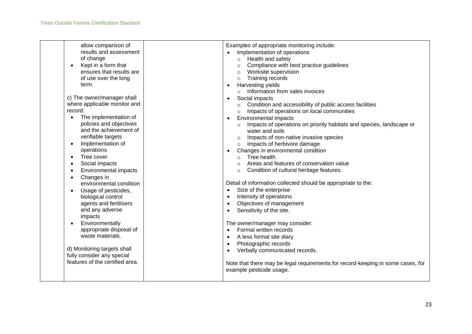| allow comparison of<br>results and assessment<br>of change<br>Kept in a form that<br>$\bullet$<br>ensures that results are<br>of use over the long<br>term.<br>c) The owner/manager shall<br>where applicable monitor and<br>record:<br>The implementation of<br>policies and objectives<br>and the achievement of | Examples of appropriate monitoring include:<br>Implementation of operations<br>Health and safety<br>$\circ$<br>Compliance with best practice guidelines<br>$\circ$<br>Worksite supervision<br>$\circ$<br>Training records<br>$\circ$<br>Harvesting yields<br>$\bullet$<br>Information from sales invoices<br>$\circ$<br>Social impacts<br>Condition and accessibility of public access facilities<br>$\circ$<br>Impacts of operations on local communities<br>$\circ$<br>Environmental impacts<br>$\bullet$<br>Impacts of operations on priority habitats and species, landscape or<br>$\circ$ |
|--------------------------------------------------------------------------------------------------------------------------------------------------------------------------------------------------------------------------------------------------------------------------------------------------------------------|------------------------------------------------------------------------------------------------------------------------------------------------------------------------------------------------------------------------------------------------------------------------------------------------------------------------------------------------------------------------------------------------------------------------------------------------------------------------------------------------------------------------------------------------------------------------------------------------|
| verifiable targets<br>Implementation of<br>operations<br>Tree cover<br>Social impacts<br>$\bullet$<br><b>Environmental impacts</b><br>٠<br>Changes in<br>$\bullet$<br>environmental condition                                                                                                                      | water and soils<br>Impacts of non-native invasive species<br>Impacts of herbivore damage<br>$\circ$<br>Changes in environmental condition<br>$\bullet$<br>Tree health<br>$\Omega$<br>Areas and features of conservation value<br>$\circ$<br>Condition of cultural heritage features.<br>$\circ$<br>Detail of information collected should be appropriate to the:                                                                                                                                                                                                                               |
| Usage of pesticides,<br>$\bullet$<br>biological control<br>agents and fertilisers<br>and any adverse<br>impacts<br>Environmentally<br>appropriate disposal of<br>waste materials.                                                                                                                                  | Size of the enterprise<br>$\bullet$<br>Intensity of operations<br>$\bullet$<br>Objectives of management<br>Sensitivity of the site.<br>The owner/manager may consider:<br>Formal written records<br>A less formal site diary<br>$\bullet$<br>Photographic records<br>$\bullet$                                                                                                                                                                                                                                                                                                                 |
| d) Monitoring targets shall<br>fully consider any special<br>features of the certified area.                                                                                                                                                                                                                       | Verbally communicated records.<br>Note that there may be legal requirements for record-keeping in some cases, for<br>example pesticide usage.                                                                                                                                                                                                                                                                                                                                                                                                                                                  |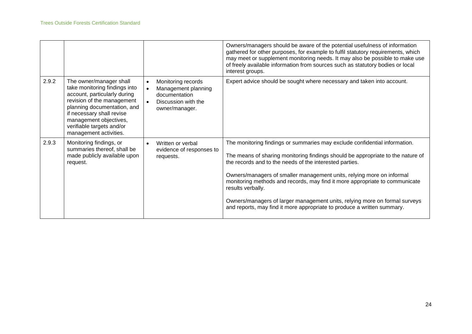|       |                                                                                                                                                                                                                                                                     |                                                                                                                               | Owners/managers should be aware of the potential usefulness of information<br>gathered for other purposes, for example to fulfil statutory requirements, which<br>may meet or supplement monitoring needs. It may also be possible to make use<br>of freely available information from sources such as statutory bodies or local<br>interest groups.                                                                                                                                                                                                           |
|-------|---------------------------------------------------------------------------------------------------------------------------------------------------------------------------------------------------------------------------------------------------------------------|-------------------------------------------------------------------------------------------------------------------------------|----------------------------------------------------------------------------------------------------------------------------------------------------------------------------------------------------------------------------------------------------------------------------------------------------------------------------------------------------------------------------------------------------------------------------------------------------------------------------------------------------------------------------------------------------------------|
| 2.9.2 | The owner/manager shall<br>take monitoring findings into<br>account, particularly during<br>revision of the management<br>planning documentation, and<br>if necessary shall revise<br>management objectives,<br>verifiable targets and/or<br>management activities. | Monitoring records<br>$\bullet$<br>Management planning<br>$\bullet$<br>documentation<br>Discussion with the<br>owner/manager. | Expert advice should be sought where necessary and taken into account.                                                                                                                                                                                                                                                                                                                                                                                                                                                                                         |
| 2.9.3 | Monitoring findings, or<br>summaries thereof, shall be<br>made publicly available upon<br>request.                                                                                                                                                                  | Written or verbal<br>$\bullet$<br>evidence of responses to<br>requests.                                                       | The monitoring findings or summaries may exclude confidential information.<br>The means of sharing monitoring findings should be appropriate to the nature of<br>the records and to the needs of the interested parties.<br>Owners/managers of smaller management units, relying more on informal<br>monitoring methods and records, may find it more appropriate to communicate<br>results verbally.<br>Owners/managers of larger management units, relying more on formal surveys<br>and reports, may find it more appropriate to produce a written summary. |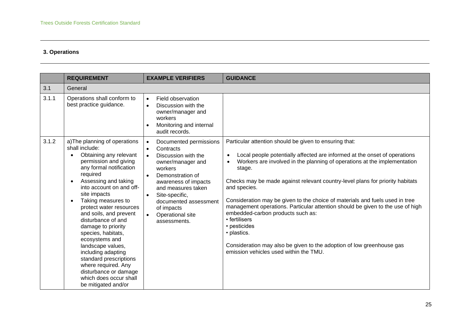### **3. Operations**

|       | <b>REQUIREMENT</b>                                                                                                                                                                                                                                                                                                                                                                                                                                                                                                                                              | <b>EXAMPLE VERIFIERS</b>                                                                                                                                                                                                                                                                                                   | <b>GUIDANCE</b>                                                                                                                                                                                                                                                                                                                                                                                                                                                                                                                                                                                                                                                                                                                |
|-------|-----------------------------------------------------------------------------------------------------------------------------------------------------------------------------------------------------------------------------------------------------------------------------------------------------------------------------------------------------------------------------------------------------------------------------------------------------------------------------------------------------------------------------------------------------------------|----------------------------------------------------------------------------------------------------------------------------------------------------------------------------------------------------------------------------------------------------------------------------------------------------------------------------|--------------------------------------------------------------------------------------------------------------------------------------------------------------------------------------------------------------------------------------------------------------------------------------------------------------------------------------------------------------------------------------------------------------------------------------------------------------------------------------------------------------------------------------------------------------------------------------------------------------------------------------------------------------------------------------------------------------------------------|
| 3.1   | General                                                                                                                                                                                                                                                                                                                                                                                                                                                                                                                                                         |                                                                                                                                                                                                                                                                                                                            |                                                                                                                                                                                                                                                                                                                                                                                                                                                                                                                                                                                                                                                                                                                                |
| 3.1.1 | Operations shall conform to<br>best practice guidance.                                                                                                                                                                                                                                                                                                                                                                                                                                                                                                          | Field observation<br>$\bullet$<br>Discussion with the<br>$\bullet$<br>owner/manager and<br>workers<br>Monitoring and internal<br>$\bullet$<br>audit records.                                                                                                                                                               |                                                                                                                                                                                                                                                                                                                                                                                                                                                                                                                                                                                                                                                                                                                                |
| 3.1.2 | a) The planning of operations<br>shall include:<br>Obtaining any relevant<br>permission and giving<br>any formal notification<br>required<br>Assessing and taking<br>$\bullet$<br>into account on and off-<br>site impacts<br>Taking measures to<br>protect water resources<br>and soils, and prevent<br>disturbance of and<br>damage to priority<br>species, habitats,<br>ecosystems and<br>landscape values,<br>including adapting<br>standard prescriptions<br>where required. Any<br>disturbance or damage<br>which does occur shall<br>be mitigated and/or | Documented permissions<br>$\bullet$<br>Contracts<br>$\bullet$<br>Discussion with the<br>$\bullet$<br>owner/manager and<br>workers<br>Demonstration of<br>$\bullet$<br>awareness of impacts<br>and measures taken<br>Site-specific,<br>$\bullet$<br>documented assessment<br>of impacts<br>Operational site<br>assessments. | Particular attention should be given to ensuring that:<br>Local people potentially affected are informed at the onset of operations<br>$\bullet$<br>Workers are involved in the planning of operations at the implementation<br>$\bullet$<br>stage.<br>Checks may be made against relevant country-level plans for priority habitats<br>and species.<br>Consideration may be given to the choice of materials and fuels used in tree<br>management operations. Particular attention should be given to the use of high<br>embedded-carbon products such as:<br>• fertilisers<br>• pesticides<br>• plastics.<br>Consideration may also be given to the adoption of low greenhouse gas<br>emission vehicles used within the TMU. |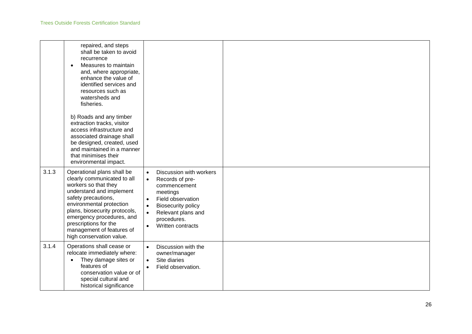|       | repaired, and steps<br>shall be taken to avoid<br>recurrence<br>Measures to maintain<br>$\bullet$<br>and, where appropriate,<br>enhance the value of<br>identified services and<br>resources such as<br>watersheds and<br>fisheries.                                                                             |                                                                                                                                                                                                                                                                  |  |
|-------|------------------------------------------------------------------------------------------------------------------------------------------------------------------------------------------------------------------------------------------------------------------------------------------------------------------|------------------------------------------------------------------------------------------------------------------------------------------------------------------------------------------------------------------------------------------------------------------|--|
|       | b) Roads and any timber<br>extraction tracks, visitor<br>access infrastructure and<br>associated drainage shall<br>be designed, created, used<br>and maintained in a manner<br>that minimises their<br>environmental impact.                                                                                     |                                                                                                                                                                                                                                                                  |  |
| 3.1.3 | Operational plans shall be<br>clearly communicated to all<br>workers so that they<br>understand and implement<br>safety precautions,<br>environmental protection<br>plans, biosecurity protocols,<br>emergency procedures, and<br>prescriptions for the<br>management of features of<br>high conservation value. | Discussion with workers<br>$\bullet$<br>Records of pre-<br>$\bullet$<br>commencement<br>meetings<br>Field observation<br>$\bullet$<br><b>Biosecurity policy</b><br>$\bullet$<br>Relevant plans and<br>$\bullet$<br>procedures.<br>Written contracts<br>$\bullet$ |  |
| 3.1.4 | Operations shall cease or<br>relocate immediately where:<br>They damage sites or<br>$\bullet$<br>features of<br>conservation value or of<br>special cultural and<br>historical significance                                                                                                                      | Discussion with the<br>$\bullet$<br>owner/manager<br>Site diaries<br>$\bullet$<br>Field observation.                                                                                                                                                             |  |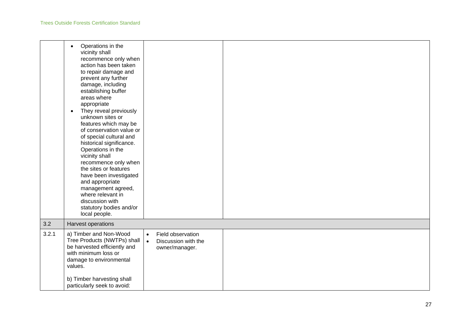|       | Operations in the<br>$\bullet$<br>vicinity shall<br>recommence only when<br>action has been taken<br>to repair damage and<br>prevent any further<br>damage, including<br>establishing buffer<br>areas where<br>appropriate<br>They reveal previously<br>$\bullet$<br>unknown sites or<br>features which may be<br>of conservation value or<br>of special cultural and<br>historical significance.<br>Operations in the<br>vicinity shall<br>recommence only when<br>the sites or features<br>have been investigated<br>and appropriate<br>management agreed,<br>where relevant in<br>discussion with<br>statutory bodies and/or<br>local people. |                                                                                      |  |
|-------|--------------------------------------------------------------------------------------------------------------------------------------------------------------------------------------------------------------------------------------------------------------------------------------------------------------------------------------------------------------------------------------------------------------------------------------------------------------------------------------------------------------------------------------------------------------------------------------------------------------------------------------------------|--------------------------------------------------------------------------------------|--|
| 3.2   | Harvest operations                                                                                                                                                                                                                                                                                                                                                                                                                                                                                                                                                                                                                               |                                                                                      |  |
| 3.2.1 | a) Timber and Non-Wood<br>Tree Products (NWTPs) shall<br>be harvested efficiently and<br>with minimum loss or<br>damage to environmental<br>values.<br>b) Timber harvesting shall<br>particularly seek to avoid:                                                                                                                                                                                                                                                                                                                                                                                                                                 | Field observation<br>$\bullet$<br>Discussion with the<br>$\bullet$<br>owner/manager. |  |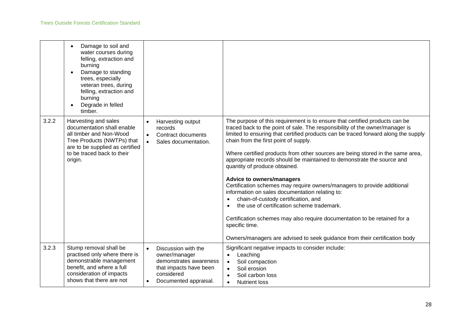|       | Damage to soil and<br>water courses during<br>felling, extraction and<br>burning<br>Damage to standing<br>trees, especially<br>veteran trees, during<br>felling, extraction and<br>burning<br>Degrade in felled<br>timber. |                                                                                                                                                           |                                                                                                                                                                                                                                                                                                                                                                                                                                                                                                                                                                                                                                                                                                                                                                                                                                                                                                                             |
|-------|----------------------------------------------------------------------------------------------------------------------------------------------------------------------------------------------------------------------------|-----------------------------------------------------------------------------------------------------------------------------------------------------------|-----------------------------------------------------------------------------------------------------------------------------------------------------------------------------------------------------------------------------------------------------------------------------------------------------------------------------------------------------------------------------------------------------------------------------------------------------------------------------------------------------------------------------------------------------------------------------------------------------------------------------------------------------------------------------------------------------------------------------------------------------------------------------------------------------------------------------------------------------------------------------------------------------------------------------|
| 3.2.2 | Harvesting and sales<br>documentation shall enable<br>all timber and Non-Wood<br>Tree Products (NWTPs) that<br>are to be supplied as certified<br>to be traced back to their<br>origin.                                    | Harvesting output<br>$\bullet$<br>records<br>Contract documents<br>$\bullet$<br>Sales documentation.                                                      | The purpose of this requirement is to ensure that certified products can be<br>traced back to the point of sale. The responsibility of the owner/manager is<br>limited to ensuring that certified products can be traced forward along the supply<br>chain from the first point of supply.<br>Where certified products from other sources are being stored in the same area,<br>appropriate records should be maintained to demonstrate the source and<br>quantity of produce obtained.<br><b>Advice to owners/managers</b><br>Certification schemes may require owners/managers to provide additional<br>information on sales documentation relating to:<br>chain-of-custody certification, and<br>the use of certification scheme trademark.<br>Certification schemes may also require documentation to be retained for a<br>specific time.<br>Owners/managers are advised to seek guidance from their certification body |
| 3.2.3 | Stump removal shall be<br>practised only where there is<br>demonstrable management<br>benefit, and where a full<br>consideration of impacts<br>shows that there are not                                                    | Discussion with the<br>$\bullet$<br>owner/manager<br>demonstrates awareness<br>that impacts have been<br>considered<br>Documented appraisal.<br>$\bullet$ | Significant negative impacts to consider include:<br>Leaching<br>Soil compaction<br>$\bullet$<br>Soil erosion<br>$\bullet$<br>Soil carbon loss<br>$\bullet$<br><b>Nutrient loss</b><br>$\bullet$                                                                                                                                                                                                                                                                                                                                                                                                                                                                                                                                                                                                                                                                                                                            |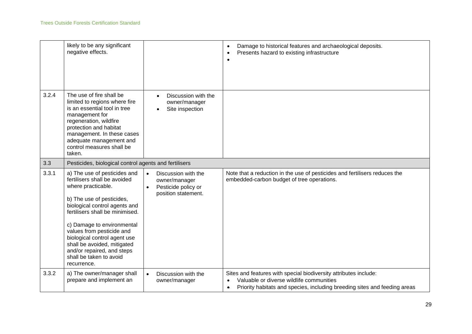|       | likely to be any significant<br>negative effects.                                                                                                                                                                                                                                                                                                                                     |                                                                                                              | Damage to historical features and archaeological deposits.<br>Presents hazard to existing infrastructure                                                                                               |
|-------|---------------------------------------------------------------------------------------------------------------------------------------------------------------------------------------------------------------------------------------------------------------------------------------------------------------------------------------------------------------------------------------|--------------------------------------------------------------------------------------------------------------|--------------------------------------------------------------------------------------------------------------------------------------------------------------------------------------------------------|
| 3.2.4 | The use of fire shall be<br>limited to regions where fire<br>is an essential tool in tree<br>management for<br>regeneration, wildfire<br>protection and habitat<br>management. In these cases<br>adequate management and<br>control measures shall be<br>taken.                                                                                                                       | Discussion with the<br>$\bullet$<br>owner/manager<br>Site inspection                                         |                                                                                                                                                                                                        |
| 3.3   | Pesticides, biological control agents and fertilisers                                                                                                                                                                                                                                                                                                                                 |                                                                                                              |                                                                                                                                                                                                        |
| 3.3.1 | a) The use of pesticides and<br>fertilisers shall be avoided<br>where practicable.<br>b) The use of pesticides,<br>biological control agents and<br>fertilisers shall be minimised.<br>c) Damage to environmental<br>values from pesticide and<br>biological control agent use<br>shall be avoided, mitigated<br>and/or repaired, and steps<br>shall be taken to avoid<br>recurrence. | Discussion with the<br>$\bullet$<br>owner/manager<br>Pesticide policy or<br>$\bullet$<br>position statement. | Note that a reduction in the use of pesticides and fertilisers reduces the<br>embedded-carbon budget of tree operations.                                                                               |
| 3.3.2 | a) The owner/manager shall<br>prepare and implement an                                                                                                                                                                                                                                                                                                                                | Discussion with the<br>$\bullet$<br>owner/manager                                                            | Sites and features with special biodiversity attributes include:<br>Valuable or diverse wildlife communities<br>Priority habitats and species, including breeding sites and feeding areas<br>$\bullet$ |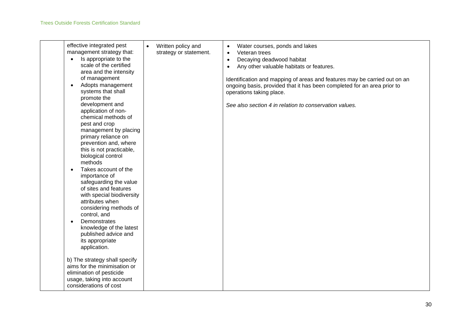| effective integrated pest<br>management strategy that:<br>Is appropriate to the<br>$\bullet$<br>scale of the certified<br>area and the intensity<br>of management<br>Adopts management<br>$\bullet$<br>systems that shall<br>promote the<br>development and<br>application of non-<br>chemical methods of<br>pest and crop<br>management by placing<br>primary reliance on<br>prevention and, where<br>this is not practicable,<br>biological control<br>methods<br>Takes account of the<br>$\bullet$<br>importance of<br>safeguarding the value<br>of sites and features<br>with special biodiversity<br>attributes when<br>considering methods of<br>control, and<br>Demonstrates<br>$\bullet$<br>knowledge of the latest<br>published advice and<br>its appropriate<br>application. | Written policy and<br>$\bullet$<br>strategy or statement. | Water courses, ponds and lakes<br>$\bullet$<br>Veteran trees<br>$\bullet$<br>Decaying deadwood habitat<br>$\bullet$<br>Any other valuable habitats or features.<br>$\bullet$<br>Identification and mapping of areas and features may be carried out on an<br>ongoing basis, provided that it has been completed for an area prior to<br>operations taking place.<br>See also section 4 in relation to conservation values. |
|----------------------------------------------------------------------------------------------------------------------------------------------------------------------------------------------------------------------------------------------------------------------------------------------------------------------------------------------------------------------------------------------------------------------------------------------------------------------------------------------------------------------------------------------------------------------------------------------------------------------------------------------------------------------------------------------------------------------------------------------------------------------------------------|-----------------------------------------------------------|----------------------------------------------------------------------------------------------------------------------------------------------------------------------------------------------------------------------------------------------------------------------------------------------------------------------------------------------------------------------------------------------------------------------------|
| b) The strategy shall specify<br>aims for the minimisation or<br>elimination of pesticide<br>usage, taking into account<br>considerations of cost                                                                                                                                                                                                                                                                                                                                                                                                                                                                                                                                                                                                                                      |                                                           |                                                                                                                                                                                                                                                                                                                                                                                                                            |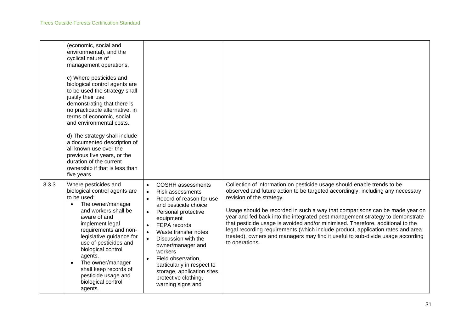|       | (economic, social and<br>environmental), and the<br>cyclical nature of<br>management operations.<br>c) Where pesticides and<br>biological control agents are<br>to be used the strategy shall<br>justify their use<br>demonstrating that there is<br>no practicable alternative, in<br>terms of economic, social<br>and environmental costs.<br>d) The strategy shall include<br>a documented description of<br>all known use over the<br>previous five years, or the<br>duration of the current<br>ownership if that is less than<br>five years. |                                                                                                                                                                                                                                                                                                                                                                                                                                                          |                                                                                                                                                                                                                                                                                                                                                                                                                                                                                                                                                                                                                                 |
|-------|---------------------------------------------------------------------------------------------------------------------------------------------------------------------------------------------------------------------------------------------------------------------------------------------------------------------------------------------------------------------------------------------------------------------------------------------------------------------------------------------------------------------------------------------------|----------------------------------------------------------------------------------------------------------------------------------------------------------------------------------------------------------------------------------------------------------------------------------------------------------------------------------------------------------------------------------------------------------------------------------------------------------|---------------------------------------------------------------------------------------------------------------------------------------------------------------------------------------------------------------------------------------------------------------------------------------------------------------------------------------------------------------------------------------------------------------------------------------------------------------------------------------------------------------------------------------------------------------------------------------------------------------------------------|
| 3.3.3 | Where pesticides and<br>biological control agents are<br>to be used:<br>The owner/manager<br>$\bullet$<br>and workers shall be<br>aware of and<br>implement legal<br>requirements and non-<br>legislative guidance for<br>use of pesticides and<br>biological control<br>agents.<br>The owner/manager<br>shall keep records of<br>pesticide usage and<br>biological control<br>agents.                                                                                                                                                            | <b>COSHH</b> assessments<br>$\bullet$<br><b>Risk assessments</b><br>$\bullet$<br>Record of reason for use<br>$\bullet$<br>and pesticide choice<br>Personal protective<br>$\bullet$<br>equipment<br>FEPA records<br>Waste transfer notes<br>$\bullet$<br>Discussion with the<br>owner/manager and<br>workers<br>Field observation,<br>$\bullet$<br>particularly in respect to<br>storage, application sites,<br>protective clothing,<br>warning signs and | Collection of information on pesticide usage should enable trends to be<br>observed and future action to be targeted accordingly, including any necessary<br>revision of the strategy.<br>Usage should be recorded in such a way that comparisons can be made year on<br>year and fed back into the integrated pest management strategy to demonstrate<br>that pesticide usage is avoided and/or minimised. Therefore, additional to the<br>legal recording requirements (which include product, application rates and area<br>treated), owners and managers may find it useful to sub-divide usage according<br>to operations. |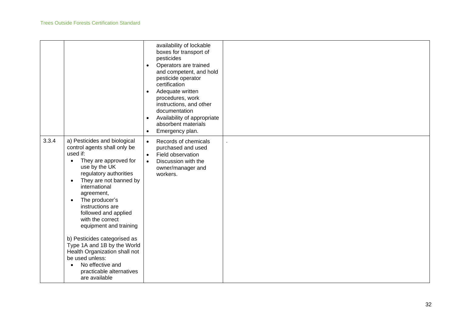|       |                                                                                                                                                                                                                                                                                                                                                                                                                                                                                                                                                           | availability of lockable<br>boxes for transport of<br>pesticides<br>Operators are trained<br>$\bullet$<br>and competent, and hold<br>pesticide operator<br>certification<br>Adequate written<br>$\bullet$<br>procedures, work<br>instructions, and other<br>documentation<br>Availability of appropriate<br>$\bullet$<br>absorbent materials<br>Emergency plan.<br>$\bullet$ |  |
|-------|-----------------------------------------------------------------------------------------------------------------------------------------------------------------------------------------------------------------------------------------------------------------------------------------------------------------------------------------------------------------------------------------------------------------------------------------------------------------------------------------------------------------------------------------------------------|------------------------------------------------------------------------------------------------------------------------------------------------------------------------------------------------------------------------------------------------------------------------------------------------------------------------------------------------------------------------------|--|
| 3.3.4 | a) Pesticides and biological<br>control agents shall only be<br>used if:<br>They are approved for<br>$\bullet$<br>use by the UK<br>regulatory authorities<br>They are not banned by<br>$\bullet$<br>international<br>agreement,<br>The producer's<br>$\bullet$<br>instructions are<br>followed and applied<br>with the correct<br>equipment and training<br>b) Pesticides categorised as<br>Type 1A and 1B by the World<br>Health Organization shall not<br>be used unless:<br>No effective and<br>$\bullet$<br>practicable alternatives<br>are available | Records of chemicals<br>$\bullet$<br>purchased and used<br>Field observation<br>$\bullet$<br>Discussion with the<br>$\bullet$<br>owner/manager and<br>workers.                                                                                                                                                                                                               |  |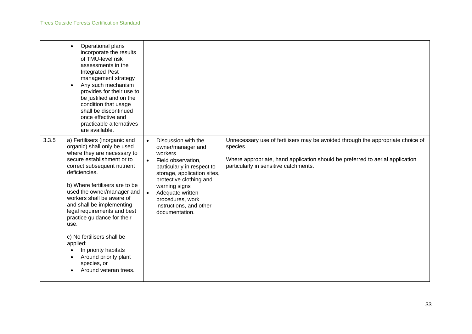|       | Operational plans<br>$\bullet$<br>incorporate the results<br>of TMU-level risk<br>assessments in the<br><b>Integrated Pest</b><br>management strategy<br>Any such mechanism<br>provides for their use to<br>be justified and on the<br>condition that usage<br>shall be discontinued<br>once effective and<br>practicable alternatives<br>are available.                                                                                                                                                     |                                                                                                                                                                                                                                                                                                   |                                                                                                                                                                                                                       |
|-------|--------------------------------------------------------------------------------------------------------------------------------------------------------------------------------------------------------------------------------------------------------------------------------------------------------------------------------------------------------------------------------------------------------------------------------------------------------------------------------------------------------------|---------------------------------------------------------------------------------------------------------------------------------------------------------------------------------------------------------------------------------------------------------------------------------------------------|-----------------------------------------------------------------------------------------------------------------------------------------------------------------------------------------------------------------------|
| 3.3.5 | a) Fertilisers (inorganic and<br>organic) shall only be used<br>where they are necessary to<br>secure establishment or to<br>correct subsequent nutrient<br>deficiencies.<br>b) Where fertilisers are to be<br>used the owner/manager and<br>workers shall be aware of<br>and shall be implementing<br>legal requirements and best<br>practice guidance for their<br>use.<br>c) No fertilisers shall be<br>applied:<br>In priority habitats<br>Around priority plant<br>species, or<br>Around veteran trees. | Discussion with the<br>$\bullet$<br>owner/manager and<br>workers<br>Field observation,<br>particularly in respect to<br>storage, application sites,<br>protective clothing and<br>warning signs<br>Adequate written<br>$\bullet$<br>procedures, work<br>instructions, and other<br>documentation. | Unnecessary use of fertilisers may be avoided through the appropriate choice of<br>species.<br>Where appropriate, hand application should be preferred to aerial application<br>particularly in sensitive catchments. |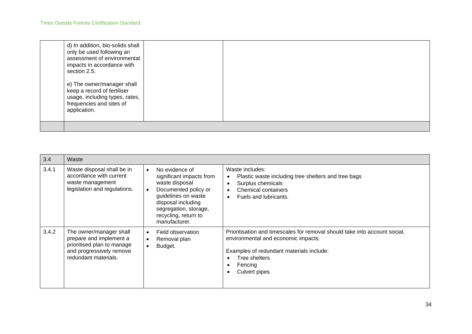| d) In addition, bio-solids shall<br>only be used following an<br>assessment of environmental<br>impacts in accordance with<br>section 2.5. |  |
|--------------------------------------------------------------------------------------------------------------------------------------------|--|
| e) The owner/manager shall<br>keep a record of fertiliser<br>usage, including types, rates,<br>frequencies and sites of<br>application.    |  |
|                                                                                                                                            |  |

| 3.4   | Waste                                                                                                                                |                                                                                                                                                                                                                               |                                                                                                                                                                                                            |
|-------|--------------------------------------------------------------------------------------------------------------------------------------|-------------------------------------------------------------------------------------------------------------------------------------------------------------------------------------------------------------------------------|------------------------------------------------------------------------------------------------------------------------------------------------------------------------------------------------------------|
| 3.4.1 | Waste disposal shall be in<br>accordance with current<br>waste management<br>legislation and regulations.                            | No evidence of<br>$\bullet$<br>significant impacts from<br>waste disposal<br>Documented policy or<br>$\bullet$<br>guidelines on waste<br>disposal including<br>segregation, storage,<br>recycling, return to<br>manufacturer. | Waste includes:<br>Plastic waste including tree shelters and tree bags<br>Surplus chemicals<br>$\bullet$<br><b>Chemical containers</b><br>$\bullet$<br>Fuels and lubricants.<br>$\bullet$                  |
| 3.4.2 | The owner/manager shall<br>prepare and implement a<br>prioritised plan to manage<br>and progressively remove<br>redundant materials. | Field observation<br>$\bullet$<br>Removal plan<br>$\bullet$<br>Budget.<br>$\bullet$                                                                                                                                           | Prioritisation and timescales for removal should take into account social.<br>environmental and economic impacts.<br>Examples of redundant materials include:<br>Tree shelters<br>Fencing<br>Culvert pipes |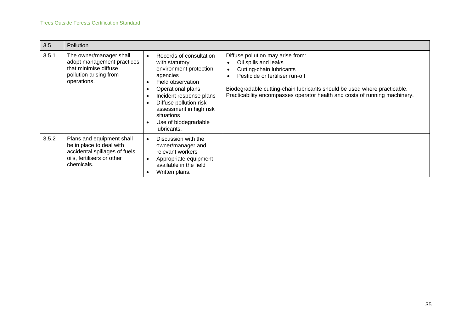| 3.5   | Pollution                                                                                                                           |                                                                                                                                                                                                                                                                                               |                                                                                                                                                                                                                                                                                                 |
|-------|-------------------------------------------------------------------------------------------------------------------------------------|-----------------------------------------------------------------------------------------------------------------------------------------------------------------------------------------------------------------------------------------------------------------------------------------------|-------------------------------------------------------------------------------------------------------------------------------------------------------------------------------------------------------------------------------------------------------------------------------------------------|
| 3.5.1 | The owner/manager shall<br>adopt management practices<br>that minimise diffuse<br>pollution arising from<br>operations.             | Records of consultation<br>$\bullet$<br>with statutory<br>environment protection<br>agencies<br>Field observation<br>Operational plans<br>Incident response plans<br>×<br>Diffuse pollution risk<br>assessment in high risk<br>situations<br>Use of biodegradable<br>$\bullet$<br>lubricants. | Diffuse pollution may arise from:<br>Oil spills and leaks<br>Cutting-chain lubricants<br>$\bullet$<br>Pesticide or fertiliser run-off<br>Biodegradable cutting-chain lubricants should be used where practicable.<br>Practicability encompasses operator health and costs of running machinery. |
| 3.5.2 | Plans and equipment shall<br>be in place to deal with<br>accidental spillages of fuels,<br>oils, fertilisers or other<br>chemicals. | Discussion with the<br>$\bullet$<br>owner/manager and<br>relevant workers<br>Appropriate equipment<br>$\bullet$<br>available in the field<br>Written plans.<br>$\bullet$                                                                                                                      |                                                                                                                                                                                                                                                                                                 |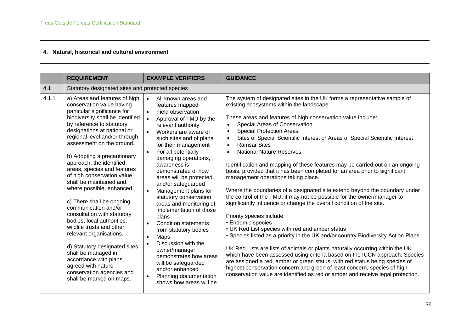## **4. Natural, historical and cultural environment**

|       | <b>REQUIREMENT</b>                                                                                                                                                                                                                                                                                                                                                                                                                                                                                                                                                                                                                                                                                                                                                                 | <b>EXAMPLE VERIFIERS</b>                                                                                                                                                                                                                                                                                                                                                                                                                                                                                                                                                                                                                                                                                                                                                   | <b>GUIDANCE</b>                                                                                                                                                                                                                                                                                                                                                                                                                                                                                                                                                                                                                                                                                                                                                                                                                                                                                                                                                                                                                                                                                                                                                                                                                                                                                                                                                                                                                                                                                           |  |  |
|-------|------------------------------------------------------------------------------------------------------------------------------------------------------------------------------------------------------------------------------------------------------------------------------------------------------------------------------------------------------------------------------------------------------------------------------------------------------------------------------------------------------------------------------------------------------------------------------------------------------------------------------------------------------------------------------------------------------------------------------------------------------------------------------------|----------------------------------------------------------------------------------------------------------------------------------------------------------------------------------------------------------------------------------------------------------------------------------------------------------------------------------------------------------------------------------------------------------------------------------------------------------------------------------------------------------------------------------------------------------------------------------------------------------------------------------------------------------------------------------------------------------------------------------------------------------------------------|-----------------------------------------------------------------------------------------------------------------------------------------------------------------------------------------------------------------------------------------------------------------------------------------------------------------------------------------------------------------------------------------------------------------------------------------------------------------------------------------------------------------------------------------------------------------------------------------------------------------------------------------------------------------------------------------------------------------------------------------------------------------------------------------------------------------------------------------------------------------------------------------------------------------------------------------------------------------------------------------------------------------------------------------------------------------------------------------------------------------------------------------------------------------------------------------------------------------------------------------------------------------------------------------------------------------------------------------------------------------------------------------------------------------------------------------------------------------------------------------------------------|--|--|
| 4.1   |                                                                                                                                                                                                                                                                                                                                                                                                                                                                                                                                                                                                                                                                                                                                                                                    | Statutory designated sites and protected species                                                                                                                                                                                                                                                                                                                                                                                                                                                                                                                                                                                                                                                                                                                           |                                                                                                                                                                                                                                                                                                                                                                                                                                                                                                                                                                                                                                                                                                                                                                                                                                                                                                                                                                                                                                                                                                                                                                                                                                                                                                                                                                                                                                                                                                           |  |  |
| 4.1.1 | a) Areas and features of high<br>conservation value having<br>particular significance for<br>biodiversity shall be identified<br>by reference to statutory<br>designations at national or<br>regional level and/or through<br>assessment on the ground.<br>b) Adopting a precautionary<br>approach, the identified<br>areas, species and features<br>of high conservation value<br>shall be maintained and,<br>where possible, enhanced.<br>c) There shall be ongoing<br>communication and/or<br>consultation with statutory<br>bodies, local authorities,<br>wildlife trusts and other<br>relevant organisations.<br>d) Statutory designated sites<br>shall be managed in<br>accordance with plans<br>agreed with nature<br>conservation agencies and<br>shall be marked on maps. | All known areas and<br>$\bullet$<br>features mapped<br>Field observation<br>$\bullet$<br>Approval of TMU by the<br>$\bullet$<br>relevant authority<br>Workers are aware of<br>such sites and of plans<br>for their management<br>For all potentially<br>$\bullet$<br>damaging operations,<br>awareness is<br>demonstrated of how<br>areas will be protected<br>and/or safeguarded<br>Management plans for<br>$\bullet$<br>statutory conservation<br>areas and monitoring of<br>implementation of those<br>plans<br><b>Condition statements</b><br>$\bullet$<br>from statutory bodies<br>Maps<br>$\bullet$<br>Discussion with the<br>owner/manager<br>demonstrates how areas<br>will be safeguarded<br>and/or enhanced<br>Planning documentation<br>shows how areas will be | The system of designated sites in the UK forms a representative sample of<br>existing ecosystems within the landscape.<br>These areas and features of high conservation value include:<br>Special Areas of Conservation<br><b>Special Protection Areas</b><br>$\bullet$<br>Sites of Special Scientific Interest or Areas of Special Scientific Interest<br>$\bullet$<br><b>Ramsar Sites</b><br>$\bullet$<br><b>National Nature Reserves</b><br>$\bullet$<br>Identification and mapping of these features may be carried out on an ongoing<br>basis, provided that it has been completed for an area prior to significant<br>management operations taking place.<br>Where the boundaries of a designated site extend beyond the boundary under<br>the control of the TMU, it may not be possible for the owner/manager to<br>significantly influence or change the overall condition of the site.<br>Priority species include:<br>• Endemic species<br>• UK Red List species with red and amber status<br>• Species listed as a priority in the UK and/or country Biodiversity Action Plans.<br>UK Red Lists are lists of animals or plants naturally occurring within the UK<br>which have been assessed using criteria based on the IUCN approach. Species<br>are assigned a red, amber or green status, with red status being species of<br>highest conservation concern and green of least concern, species of high<br>conservation value are identified as red or amber and receive legal protection. |  |  |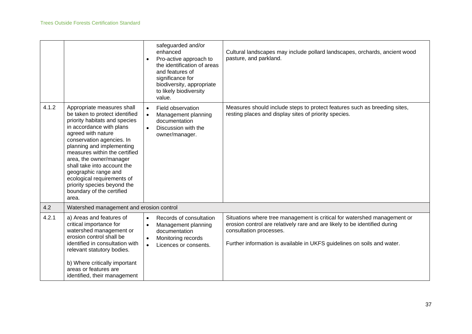|       |                                                                                                                                                                                                                                                                                                                                                                                                                                 | safeguarded and/or<br>enhanced<br>Pro-active approach to<br>$\bullet$<br>the identification of areas<br>and features of<br>significance for<br>biodiversity, appropriate<br>to likely biodiversity<br>value. | Cultural landscapes may include pollard landscapes, orchards, ancient wood<br>pasture, and parkland.                                                                                                                                                         |
|-------|---------------------------------------------------------------------------------------------------------------------------------------------------------------------------------------------------------------------------------------------------------------------------------------------------------------------------------------------------------------------------------------------------------------------------------|--------------------------------------------------------------------------------------------------------------------------------------------------------------------------------------------------------------|--------------------------------------------------------------------------------------------------------------------------------------------------------------------------------------------------------------------------------------------------------------|
| 4.1.2 | Appropriate measures shall<br>be taken to protect identified<br>priority habitats and species<br>in accordance with plans<br>agreed with nature<br>conservation agencies. In<br>planning and implementing<br>measures within the certified<br>area, the owner/manager<br>shall take into account the<br>geographic range and<br>ecological requirements of<br>priority species beyond the<br>boundary of the certified<br>area. | Field observation<br>$\bullet$<br>Management planning<br>$\bullet$<br>documentation<br>Discussion with the<br>$\bullet$<br>owner/manager.                                                                    | Measures should include steps to protect features such as breeding sites,<br>resting places and display sites of priority species.                                                                                                                           |
| 4.2   | Watershed management and erosion control                                                                                                                                                                                                                                                                                                                                                                                        |                                                                                                                                                                                                              |                                                                                                                                                                                                                                                              |
| 4.2.1 | a) Areas and features of<br>critical importance for<br>watershed management or<br>erosion control shall be<br>identified in consultation with<br>relevant statutory bodies.<br>b) Where critically important<br>areas or features are<br>identified, their management                                                                                                                                                           | Records of consultation<br>$\bullet$<br>Management planning<br>$\bullet$<br>documentation<br>Monitoring records<br>$\bullet$<br>Licences or consents.<br>$\bullet$                                           | Situations where tree management is critical for watershed management or<br>erosion control are relatively rare and are likely to be identified during<br>consultation processes.<br>Further information is available in UKFS guidelines on soils and water. |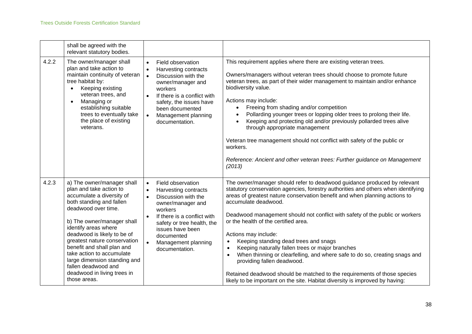|       | shall be agreed with the<br>relevant statutory bodies.                                                                                                                                                                                                                                                                                                                                                                      |                                                                                                                                                                                                                                                                                              |                                                                                                                                                                                                                                                                                                                                                                                                                                                                                                                                                                                                                                                                                                                                                                                                                                 |
|-------|-----------------------------------------------------------------------------------------------------------------------------------------------------------------------------------------------------------------------------------------------------------------------------------------------------------------------------------------------------------------------------------------------------------------------------|----------------------------------------------------------------------------------------------------------------------------------------------------------------------------------------------------------------------------------------------------------------------------------------------|---------------------------------------------------------------------------------------------------------------------------------------------------------------------------------------------------------------------------------------------------------------------------------------------------------------------------------------------------------------------------------------------------------------------------------------------------------------------------------------------------------------------------------------------------------------------------------------------------------------------------------------------------------------------------------------------------------------------------------------------------------------------------------------------------------------------------------|
| 4.2.2 | The owner/manager shall<br>plan and take action to<br>maintain continuity of veteran<br>tree habitat by:<br>Keeping existing<br>veteran trees, and<br>Managing or<br>$\bullet$<br>establishing suitable<br>trees to eventually take<br>the place of existing<br>veterans.                                                                                                                                                   | Field observation<br>$\bullet$<br>Harvesting contracts<br>$\bullet$<br>Discussion with the<br>$\bullet$<br>owner/manager and<br>workers<br>If there is a conflict with<br>$\bullet$<br>safety, the issues have<br>been documented<br>$\bullet$<br>Management planning<br>documentation.      | This requirement applies where there are existing veteran trees.<br>Owners/managers without veteran trees should choose to promote future<br>veteran trees, as part of their wider management to maintain and/or enhance<br>biodiversity value.<br>Actions may include:<br>Freeing from shading and/or competition<br>Pollarding younger trees or lopping older trees to prolong their life.<br>Keeping and protecting old and/or previously pollarded trees alive<br>through appropriate management<br>Veteran tree management should not conflict with safety of the public or<br>workers.<br>Reference: Ancient and other veteran trees: Further guidance on Management<br>(2013)                                                                                                                                            |
| 4.2.3 | a) The owner/manager shall<br>plan and take action to<br>accumulate a diversity of<br>both standing and fallen<br>deadwood over time.<br>b) The owner/manager shall<br>identify areas where<br>deadwood is likely to be of<br>greatest nature conservation<br>benefit and shall plan and<br>take action to accumulate<br>large dimension standing and<br>fallen deadwood and<br>deadwood in living trees in<br>those areas. | Field observation<br>$\bullet$<br>Harvesting contracts<br>$\bullet$<br>Discussion with the<br>$\bullet$<br>owner/manager and<br>workers<br>If there is a conflict with<br>safety or tree health, the<br>issues have been<br>documented<br>Management planning<br>$\bullet$<br>documentation. | The owner/manager should refer to deadwood guidance produced by relevant<br>statutory conservation agencies, forestry authorities and others when identifying<br>areas of greatest nature conservation benefit and when planning actions to<br>accumulate deadwood.<br>Deadwood management should not conflict with safety of the public or workers<br>or the health of the certified area.<br>Actions may include:<br>Keeping standing dead trees and snags<br>$\bullet$<br>Keeping naturally fallen trees or major branches<br>$\bullet$<br>When thinning or clearfelling, and where safe to do so, creating snags and<br>$\bullet$<br>providing fallen deadwood.<br>Retained deadwood should be matched to the requirements of those species<br>likely to be important on the site. Habitat diversity is improved by having: |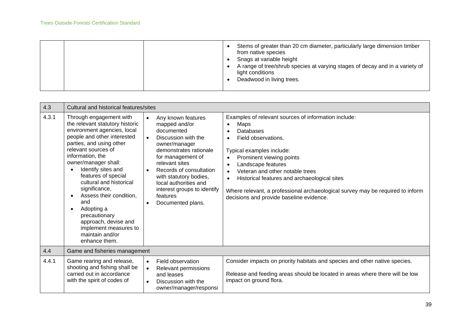|  |  | Stems of greater than 20 cm diameter, particularly large dimension timber<br>from native species<br>Snags at variable height<br>A range of tree/shrub species at varying stages of decay and in a variety of<br>light conditions<br>Deadwood in living trees. |
|--|--|---------------------------------------------------------------------------------------------------------------------------------------------------------------------------------------------------------------------------------------------------------------|
|  |  |                                                                                                                                                                                                                                                               |

| 4.3   | Cultural and historical features/sites                                                                                                                                                                                                                                                                                                                                                                                                                                              |                                                                                                                                                                                                                                                                                                                                                              |                                                                                                                                                                                                                                                                                                                                                                                                                                                                                |  |  |
|-------|-------------------------------------------------------------------------------------------------------------------------------------------------------------------------------------------------------------------------------------------------------------------------------------------------------------------------------------------------------------------------------------------------------------------------------------------------------------------------------------|--------------------------------------------------------------------------------------------------------------------------------------------------------------------------------------------------------------------------------------------------------------------------------------------------------------------------------------------------------------|--------------------------------------------------------------------------------------------------------------------------------------------------------------------------------------------------------------------------------------------------------------------------------------------------------------------------------------------------------------------------------------------------------------------------------------------------------------------------------|--|--|
| 4.3.1 | Through engagement with<br>the relevant statutory historic<br>environment agencies, local<br>people and other interested<br>parties, and using other<br>relevant sources of<br>information, the<br>owner/manager shall:<br>Identify sites and<br>features of special<br>cultural and historical<br>significance,<br>Assess their condition,<br>and<br>Adopting a<br>$\bullet$<br>precautionary<br>approach, devise and<br>implement measures to<br>maintain and/or<br>enhance them. | Any known features<br>$\bullet$<br>mapped and/or<br>documented<br>Discussion with the<br>$\bullet$<br>owner/manager<br>demonstrates rationale<br>for management of<br>relevant sites<br>Records of consultation<br>$\bullet$<br>with statutory bodies,<br>local authorities and<br>interest groups to identify<br>features<br>Documented plans.<br>$\bullet$ | Examples of relevant sources of information include:<br>Maps<br>$\bullet$<br>Databases<br>Field observations.<br>$\bullet$<br>Typical examples include:<br>Prominent viewing points<br>$\bullet$<br>Landscape features<br>$\bullet$<br>Veteran and other notable trees<br>$\bullet$<br>Historical features and archaeological sites<br>$\bullet$<br>Where relevant, a professional archaeological survey may be required to inform<br>decisions and provide baseline evidence. |  |  |
| 4.4   | Game and fisheries management                                                                                                                                                                                                                                                                                                                                                                                                                                                       |                                                                                                                                                                                                                                                                                                                                                              |                                                                                                                                                                                                                                                                                                                                                                                                                                                                                |  |  |
| 4.4.1 | Game rearing and release,<br>shooting and fishing shall be<br>carried out in accordance<br>with the spirit of codes of                                                                                                                                                                                                                                                                                                                                                              | Field observation<br>$\bullet$<br>Relevant permissions<br>$\bullet$<br>and leases<br>Discussion with the<br>$\bullet$<br>owner/manager/responsi                                                                                                                                                                                                              | Consider impacts on priority habitats and species and other native species.<br>Release and feeding areas should be located in areas where there will be low<br>impact on ground flora.                                                                                                                                                                                                                                                                                         |  |  |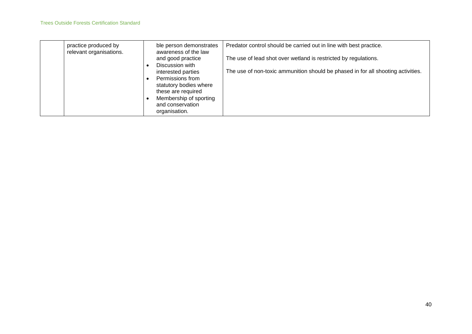| practice produced by<br>relevant organisations. | ble person demonstrates<br>awareness of the law                                                           | Predator control should be carried out in line with best practice.               |
|-------------------------------------------------|-----------------------------------------------------------------------------------------------------------|----------------------------------------------------------------------------------|
|                                                 | and good practice                                                                                         | The use of lead shot over wetland is restricted by regulations.                  |
|                                                 | Discussion with<br>interested parties<br>Permissions from<br>statutory bodies where<br>these are required | The use of non-toxic ammunition should be phased in for all shooting activities. |
|                                                 | Membership of sporting<br>and conservation<br>organisation.                                               |                                                                                  |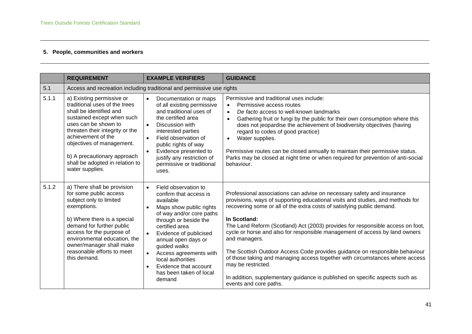## **5. People, communities and workers**

|       | <b>REQUIREMENT</b>                                                                                                                                                                                                                                                                                                     | <b>EXAMPLE VERIFIERS</b>                                                                                                                                                                                                                                                                                                                                                                                     | <b>GUIDANCE</b>                                                                                                                                                                                                                                                                                                                                                                                                                                                                                                                                                                                                                                                                                                                     |  |
|-------|------------------------------------------------------------------------------------------------------------------------------------------------------------------------------------------------------------------------------------------------------------------------------------------------------------------------|--------------------------------------------------------------------------------------------------------------------------------------------------------------------------------------------------------------------------------------------------------------------------------------------------------------------------------------------------------------------------------------------------------------|-------------------------------------------------------------------------------------------------------------------------------------------------------------------------------------------------------------------------------------------------------------------------------------------------------------------------------------------------------------------------------------------------------------------------------------------------------------------------------------------------------------------------------------------------------------------------------------------------------------------------------------------------------------------------------------------------------------------------------------|--|
| 5.1   |                                                                                                                                                                                                                                                                                                                        | Access and recreation including traditional and permissive use rights                                                                                                                                                                                                                                                                                                                                        |                                                                                                                                                                                                                                                                                                                                                                                                                                                                                                                                                                                                                                                                                                                                     |  |
| 5.1.1 | a) Existing permissive or<br>traditional uses of the trees<br>shall be identified and<br>sustained except when such<br>uses can be shown to<br>threaten their integrity or the<br>achievement of the<br>objectives of management.<br>b) A precautionary approach<br>shall be adopted in relation to<br>water supplies. | $\bullet$<br>Documentation or maps<br>of all existing permissive<br>and traditional uses of<br>the certified area<br>$\bullet$<br>Discussion with<br>interested parties<br>Field observation of<br>public rights of way<br>Evidence presented to<br>$\bullet$<br>justify any restriction of<br>permissive or traditional<br>uses.                                                                            | Permissive and traditional uses include:<br>Permissive access routes<br>$\bullet$<br>De facto access to well-known landmarks<br>$\bullet$<br>Gathering fruit or fungi by the public for their own consumption where this<br>$\bullet$<br>does not jeopardise the achievement of biodiversity objectives (having<br>regard to codes of good practice)<br>Water supplies.<br>$\bullet$<br>Permissive routes can be closed annually to maintain their permissive status.<br>Parks may be closed at night time or when required for prevention of anti-social<br>behaviour.                                                                                                                                                             |  |
| 5.1.2 | a) There shall be provision<br>for some public access<br>subject only to limited<br>exemptions.<br>b) Where there is a special<br>demand for further public<br>access for the purpose of<br>environmental education, the<br>owner/manager shall make<br>reasonable efforts to meet<br>this demand.                     | Field observation to<br>$\bullet$<br>confirm that access is<br>available<br>Maps show public rights<br>$\bullet$<br>of way and/or core paths<br>through or beside the<br>certified area<br>Evidence of publicised<br>$\bullet$<br>annual open days or<br>guided walks<br>$\bullet$<br>Access agreements with<br>local authorities<br>Evidence that account<br>$\bullet$<br>has been taken of local<br>demand | Professional associations can advise on necessary safety and insurance<br>provisions, ways of supporting educational visits and studies, and methods for<br>recovering some or all of the extra costs of satisfying public demand.<br>In Scotland:<br>The Land Reform (Scotland) Act (2003) provides for responsible access on foot,<br>cycle or horse and also for responsible management of access by land owners<br>and managers.<br>The Scottish Outdoor Access Code provides guidance on responsible behaviour<br>of those taking and managing access together with circumstances where access<br>may be restricted.<br>In addition, supplementary guidance is published on specific aspects such as<br>events and core paths. |  |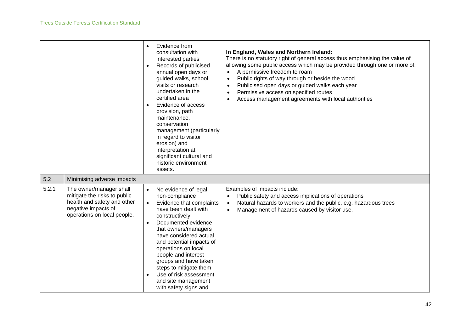|       |                                                                                                                                              | Evidence from<br>$\bullet$<br>consultation with<br>interested parties<br>Records of publicised<br>$\bullet$<br>annual open days or<br>guided walks, school<br>visits or research<br>undertaken in the<br>certified area<br>Evidence of access<br>provision, path<br>maintenance,<br>conservation<br>management (particularly<br>in regard to visitor<br>erosion) and<br>interpretation at<br>significant cultural and<br>historic environment<br>assets. | In England, Wales and Northern Ireland:<br>There is no statutory right of general access thus emphasising the value of<br>allowing some public access which may be provided through one or more of:<br>A permissive freedom to roam<br>$\bullet$<br>Public rights of way through or beside the wood<br>$\bullet$<br>Publicised open days or guided walks each year<br>$\bullet$<br>Permissive access on specified routes<br>$\bullet$<br>Access management agreements with local authorities<br>$\bullet$ |
|-------|----------------------------------------------------------------------------------------------------------------------------------------------|----------------------------------------------------------------------------------------------------------------------------------------------------------------------------------------------------------------------------------------------------------------------------------------------------------------------------------------------------------------------------------------------------------------------------------------------------------|-----------------------------------------------------------------------------------------------------------------------------------------------------------------------------------------------------------------------------------------------------------------------------------------------------------------------------------------------------------------------------------------------------------------------------------------------------------------------------------------------------------|
| 5.2   | Minimising adverse impacts                                                                                                                   |                                                                                                                                                                                                                                                                                                                                                                                                                                                          |                                                                                                                                                                                                                                                                                                                                                                                                                                                                                                           |
| 5.2.1 | The owner/manager shall<br>mitigate the risks to public<br>health and safety and other<br>negative impacts of<br>operations on local people. | No evidence of legal<br>$\bullet$<br>non-compliance<br>Evidence that complaints<br>$\bullet$<br>have been dealt with<br>constructively<br>Documented evidence<br>$\bullet$<br>that owners/managers<br>have considered actual<br>and potential impacts of<br>operations on local<br>people and interest<br>groups and have taken<br>steps to mitigate them<br>Use of risk assessment<br>$\bullet$<br>and site management<br>with safety signs and         | Examples of impacts include:<br>Public safety and access implications of operations<br>Natural hazards to workers and the public, e.g. hazardous trees<br>$\bullet$<br>Management of hazards caused by visitor use.<br>$\bullet$                                                                                                                                                                                                                                                                          |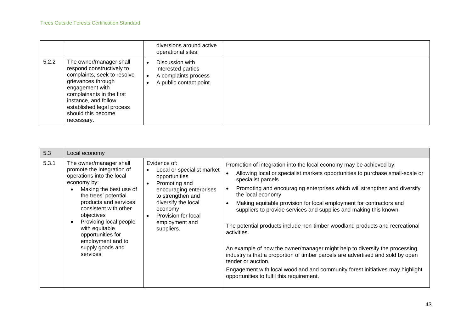|       |                                                                                                                                                                                                                                                    | diversions around active<br>operational sites.                                           |  |
|-------|----------------------------------------------------------------------------------------------------------------------------------------------------------------------------------------------------------------------------------------------------|------------------------------------------------------------------------------------------|--|
| 5.2.2 | The owner/manager shall<br>respond constructively to<br>complaints, seek to resolve<br>grievances through<br>engagement with<br>complainants in the first<br>instance, and follow<br>established legal process<br>should this become<br>necessary. | Discussion with<br>interested parties<br>A complaints process<br>A public contact point. |  |

| 5.3   | Local economy                                                                                                                                                                                                                                                                                                                              |                                                                                                                                                                                                                                    |                                                                                                                                                                                                                                                                                                                                                                                                                                                                                                                                                                                                                                                                                                                                                                                                                                                                        |
|-------|--------------------------------------------------------------------------------------------------------------------------------------------------------------------------------------------------------------------------------------------------------------------------------------------------------------------------------------------|------------------------------------------------------------------------------------------------------------------------------------------------------------------------------------------------------------------------------------|------------------------------------------------------------------------------------------------------------------------------------------------------------------------------------------------------------------------------------------------------------------------------------------------------------------------------------------------------------------------------------------------------------------------------------------------------------------------------------------------------------------------------------------------------------------------------------------------------------------------------------------------------------------------------------------------------------------------------------------------------------------------------------------------------------------------------------------------------------------------|
| 5.3.1 | The owner/manager shall<br>promote the integration of<br>operations into the local<br>economy by:<br>Making the best use of<br>the trees' potential<br>products and services<br>consistent with other<br>objectives<br>Providing local people<br>with equitable<br>opportunities for<br>employment and to<br>supply goods and<br>services. | Evidence of:<br>Local or specialist market<br>opportunities<br>Promoting and<br>encouraging enterprises<br>to strengthen and<br>diversify the local<br>economy<br>Provision for local<br>$\bullet$<br>employment and<br>suppliers. | Promotion of integration into the local economy may be achieved by:<br>Allowing local or specialist markets opportunities to purchase small-scale or<br>specialist parcels<br>Promoting and encouraging enterprises which will strengthen and diversify<br>$\bullet$<br>the local economy<br>Making equitable provision for local employment for contractors and<br>$\bullet$<br>suppliers to provide services and supplies and making this known.<br>The potential products include non-timber woodland products and recreational<br>activities.<br>An example of how the owner/manager might help to diversify the processing<br>industry is that a proportion of timber parcels are advertised and sold by open<br>tender or auction.<br>Engagement with local woodland and community forest initiatives may highlight<br>opportunities to fulfil this requirement. |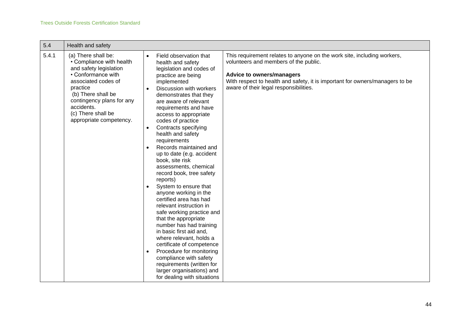| 5.4   | Health and safety                                                                                                                                                                                                                                    |                                                                                                                                                                                                                                                                                                                                                                                                                                                                                                                                                                                                                                                                                                                                                                                                                                                                                                                                                                                                                                                                                                                                                                                                                                          |
|-------|------------------------------------------------------------------------------------------------------------------------------------------------------------------------------------------------------------------------------------------------------|------------------------------------------------------------------------------------------------------------------------------------------------------------------------------------------------------------------------------------------------------------------------------------------------------------------------------------------------------------------------------------------------------------------------------------------------------------------------------------------------------------------------------------------------------------------------------------------------------------------------------------------------------------------------------------------------------------------------------------------------------------------------------------------------------------------------------------------------------------------------------------------------------------------------------------------------------------------------------------------------------------------------------------------------------------------------------------------------------------------------------------------------------------------------------------------------------------------------------------------|
| 5.4.1 | (a) There shall be:<br>• Compliance with health<br>and safety legislation<br>• Conformance with<br>associated codes of<br>practice<br>(b) There shall be<br>contingency plans for any<br>accidents.<br>(c) There shall be<br>appropriate competency. | This requirement relates to anyone on the work site, including workers,<br>Field observation that<br>$\bullet$<br>volunteers and members of the public.<br>health and safety<br>legislation and codes of<br><b>Advice to owners/managers</b><br>practice are being<br>With respect to health and safety, it is important for owners/managers to be<br>implemented<br>aware of their legal responsibilities.<br>Discussion with workers<br>demonstrates that they<br>are aware of relevant<br>requirements and have<br>access to appropriate<br>codes of practice<br>Contracts specifying<br>$\bullet$<br>health and safety<br>requirements<br>Records maintained and<br>up to date (e.g. accident<br>book, site risk<br>assessments, chemical<br>record book, tree safety<br>reports)<br>System to ensure that<br>$\bullet$<br>anyone working in the<br>certified area has had<br>relevant instruction in<br>safe working practice and<br>that the appropriate<br>number has had training<br>in basic first aid and,<br>where relevant, holds a<br>certificate of competence<br>Procedure for monitoring<br>$\bullet$<br>compliance with safety<br>requirements (written for<br>larger organisations) and<br>for dealing with situations |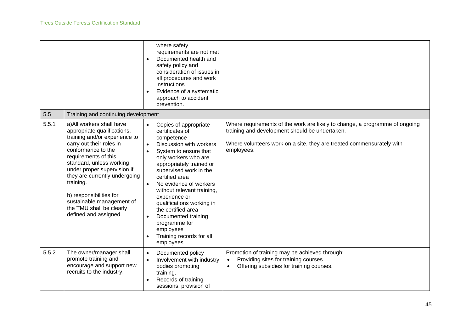|       |                                                                                                                                                                                                                                                                                                                                                                                           | where safety<br>requirements are not met<br>Documented health and<br>$\bullet$<br>safety policy and<br>consideration of issues in<br>all procedures and work<br>instructions<br>Evidence of a systematic<br>$\bullet$<br>approach to accident<br>prevention.                                                                                                                                                                                                                                           |                                                                                                                                                                                                                      |
|-------|-------------------------------------------------------------------------------------------------------------------------------------------------------------------------------------------------------------------------------------------------------------------------------------------------------------------------------------------------------------------------------------------|--------------------------------------------------------------------------------------------------------------------------------------------------------------------------------------------------------------------------------------------------------------------------------------------------------------------------------------------------------------------------------------------------------------------------------------------------------------------------------------------------------|----------------------------------------------------------------------------------------------------------------------------------------------------------------------------------------------------------------------|
| 5.5   | Training and continuing development                                                                                                                                                                                                                                                                                                                                                       |                                                                                                                                                                                                                                                                                                                                                                                                                                                                                                        |                                                                                                                                                                                                                      |
| 5.5.1 | a) All workers shall have<br>appropriate qualifications,<br>training and/or experience to<br>carry out their roles in<br>conformance to the<br>requirements of this<br>standard, unless working<br>under proper supervision if<br>they are currently undergoing<br>training.<br>b) responsibilities for<br>sustainable management of<br>the TMU shall be clearly<br>defined and assigned. | Copies of appropriate<br>$\bullet$<br>certificates of<br>competence<br>Discussion with workers<br>$\bullet$<br>System to ensure that<br>only workers who are<br>appropriately trained or<br>supervised work in the<br>certified area<br>No evidence of workers<br>$\bullet$<br>without relevant training,<br>experience or<br>qualifications working in<br>the certified area<br>Documented training<br>$\bullet$<br>programme for<br>employees<br>Training records for all<br>$\bullet$<br>employees. | Where requirements of the work are likely to change, a programme of ongoing<br>training and development should be undertaken.<br>Where volunteers work on a site, they are treated commensurately with<br>employees. |
| 5.5.2 | The owner/manager shall<br>promote training and<br>encourage and support new<br>recruits to the industry.                                                                                                                                                                                                                                                                                 | Documented policy<br>$\bullet$<br>Involvement with industry<br>$\bullet$<br>bodies promoting<br>training.<br>Records of training<br>$\bullet$<br>sessions, provision of                                                                                                                                                                                                                                                                                                                                | Promotion of training may be achieved through:<br>Providing sites for training courses<br>$\bullet$<br>Offering subsidies for training courses.<br>$\bullet$                                                         |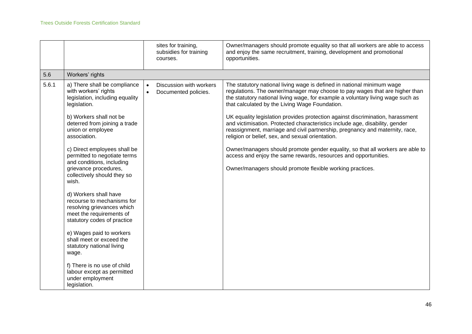|       |                                                                                                                                                                                                                                                                                                                                                                                                                                                                                                                                                                                                                                                                                                                       | sites for training,<br>subsidies for training<br>courses.    | Owner/managers should promote equality so that all workers are able to access<br>and enjoy the same recruitment, training, development and promotional<br>opportunities.                                                                                                                                                                                                                                                                                                                                                                                                                                                                                                                                                                                                                                           |
|-------|-----------------------------------------------------------------------------------------------------------------------------------------------------------------------------------------------------------------------------------------------------------------------------------------------------------------------------------------------------------------------------------------------------------------------------------------------------------------------------------------------------------------------------------------------------------------------------------------------------------------------------------------------------------------------------------------------------------------------|--------------------------------------------------------------|--------------------------------------------------------------------------------------------------------------------------------------------------------------------------------------------------------------------------------------------------------------------------------------------------------------------------------------------------------------------------------------------------------------------------------------------------------------------------------------------------------------------------------------------------------------------------------------------------------------------------------------------------------------------------------------------------------------------------------------------------------------------------------------------------------------------|
| 5.6   | Workers' rights                                                                                                                                                                                                                                                                                                                                                                                                                                                                                                                                                                                                                                                                                                       |                                                              |                                                                                                                                                                                                                                                                                                                                                                                                                                                                                                                                                                                                                                                                                                                                                                                                                    |
| 5.6.1 | a) There shall be compliance<br>with workers' rights<br>legislation, including equality<br>legislation.<br>b) Workers shall not be<br>deterred from joining a trade<br>union or employee<br>association.<br>c) Direct employees shall be<br>permitted to negotiate terms<br>and conditions, including<br>grievance procedures,<br>collectively should they so<br>wish.<br>d) Workers shall have<br>recourse to mechanisms for<br>resolving grievances which<br>meet the requirements of<br>statutory codes of practice<br>e) Wages paid to workers<br>shall meet or exceed the<br>statutory national living<br>wage.<br>f) There is no use of child<br>labour except as permitted<br>under employment<br>legislation. | Discussion with workers<br>Documented policies.<br>$\bullet$ | The statutory national living wage is defined in national minimum wage<br>regulations. The owner/manager may choose to pay wages that are higher than<br>the statutory national living wage, for example a voluntary living wage such as<br>that calculated by the Living Wage Foundation.<br>UK equality legislation provides protection against discrimination, harassment<br>and victimisation. Protected characteristics include age, disability, gender<br>reassignment, marriage and civil partnership, pregnancy and maternity, race,<br>religion or belief, sex, and sexual orientation.<br>Owner/managers should promote gender equality, so that all workers are able to<br>access and enjoy the same rewards, resources and opportunities.<br>Owner/managers should promote flexible working practices. |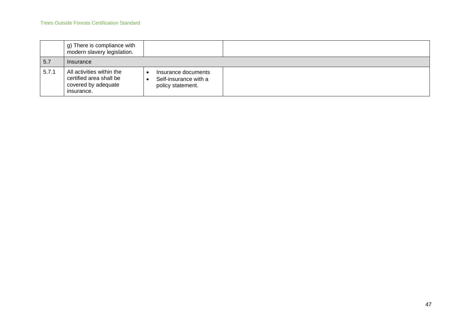|       | g) There is compliance with<br>modern slavery legislation.                                |                                                                   |  |
|-------|-------------------------------------------------------------------------------------------|-------------------------------------------------------------------|--|
| 5.7   | Insurance                                                                                 |                                                                   |  |
| 5.7.1 | All activities within the<br>certified area shall be<br>covered by adequate<br>insurance. | Insurance documents<br>Self-insurance with a<br>policy statement. |  |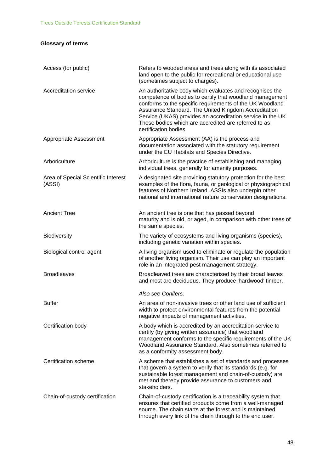# **Glossary of terms**

| Access (for public)                           | Refers to wooded areas and trees along with its associated<br>land open to the public for recreational or educational use<br>(sometimes subject to charges).                                                                                                                                                                                                                             |
|-----------------------------------------------|------------------------------------------------------------------------------------------------------------------------------------------------------------------------------------------------------------------------------------------------------------------------------------------------------------------------------------------------------------------------------------------|
| Accreditation service                         | An authoritative body which evaluates and recognises the<br>competence of bodies to certify that woodland management<br>conforms to the specific requirements of the UK Woodland<br>Assurance Standard. The United Kingdom Accreditation<br>Service (UKAS) provides an accreditation service in the UK.<br>Those bodies which are accredited are referred to as<br>certification bodies. |
| Appropriate Assessment                        | Appropriate Assessment (AA) is the process and<br>documentation associated with the statutory requirement<br>under the EU Habitats and Species Directive.                                                                                                                                                                                                                                |
| Arboriculture                                 | Arboriculture is the practice of establishing and managing<br>individual trees, generally for amenity purposes.                                                                                                                                                                                                                                                                          |
| Area of Special Scientific Interest<br>(ASSI) | A designated site providing statutory protection for the best<br>examples of the flora, fauna, or geological or physiographical<br>features of Northern Ireland. ASSIs also underpin other<br>national and international nature conservation designations.                                                                                                                               |
| <b>Ancient Tree</b>                           | An ancient tree is one that has passed beyond<br>maturity and is old, or aged, in comparison with other trees of<br>the same species.                                                                                                                                                                                                                                                    |
| Biodiversity                                  | The variety of ecosystems and living organisms (species),<br>including genetic variation within species.                                                                                                                                                                                                                                                                                 |
| Biological control agent                      | A living organism used to eliminate or regulate the population<br>of another living organism. Their use can play an important<br>role in an integrated pest management strategy.                                                                                                                                                                                                         |
| <b>Broadleaves</b>                            | Broadleaved trees are characterised by their broad leaves<br>and most are deciduous. They produce 'hardwood' timber.                                                                                                                                                                                                                                                                     |
|                                               | Also see Conifers.                                                                                                                                                                                                                                                                                                                                                                       |
| <b>Buffer</b>                                 | An area of non-invasive trees or other land use of sufficient<br>width to protect environmental features from the potential<br>negative impacts of management activities.                                                                                                                                                                                                                |
| Certification body                            | A body which is accredited by an accreditation service to<br>certify (by giving written assurance) that woodland<br>management conforms to the specific requirements of the UK<br>Woodland Assurance Standard. Also sometimes referred to<br>as a conformity assessment body.                                                                                                            |
| Certification scheme                          | A scheme that establishes a set of standards and processes<br>that govern a system to verify that its standards (e.g. for<br>sustainable forest management and chain-of-custody) are<br>met and thereby provide assurance to customers and<br>stakeholders.                                                                                                                              |
| Chain-of-custody certification                | Chain-of-custody certification is a traceability system that<br>ensures that certified products come from a well-managed<br>source. The chain starts at the forest and is maintained<br>through every link of the chain through to the end user.                                                                                                                                         |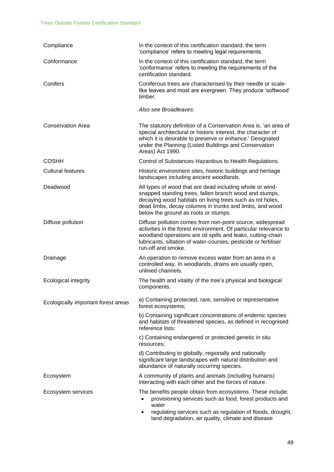| Compliance                          | In the context of this certification standard, the term<br>'compliance' refers to meeting legal requirements.                                                                                                                                                                         |
|-------------------------------------|---------------------------------------------------------------------------------------------------------------------------------------------------------------------------------------------------------------------------------------------------------------------------------------|
| Conformance                         | In the context of this certification standard, the term<br>'conformance' refers to meeting the requirements of the<br>certification standard.                                                                                                                                         |
| Conifers                            | Coniferous trees are characterised by their needle or scale-<br>like leaves and most are evergreen. They produce 'softwood'<br>timber.                                                                                                                                                |
|                                     | Also see Broadleaves.                                                                                                                                                                                                                                                                 |
| <b>Conservation Area</b>            | The statutory definition of a Conservation Area is, 'an area of<br>special architectural or historic interest, the character of<br>which it is desirable to preserve or enhance.' Designated<br>under the Planning (Listed Buildings and Conservation<br>Areas) Act 1990.             |
| <b>COSHH</b>                        | Control of Substances Hazardous to Health Regulations.                                                                                                                                                                                                                                |
| <b>Cultural features</b>            | Historic environment sites, historic buildings and heritage<br>landscapes including ancient woodlands.                                                                                                                                                                                |
| Deadwood                            | All types of wood that are dead including whole or wind-<br>snapped standing trees, fallen branch wood and stumps,<br>decaying wood habitats on living trees such as rot holes,<br>dead limbs, decay columns in trunks and limbs, and wood<br>below the ground as roots or stumps.    |
| Diffuse pollution                   | Diffuse pollution comes from non-point source, widespread<br>activities in the forest environment. Of particular relevance to<br>woodland operations are oil spills and leaks, cutting-chain<br>lubricants, siltation of water-courses, pesticide or fertiliser<br>run-off and smoke. |
| Drainage                            | An operation to remove excess water from an area in a<br>controlled way. In woodlands, drains are usually open,<br>unlined channels.                                                                                                                                                  |
| <b>Ecological integrity</b>         | The health and vitality of the tree's physical and biological<br>components.                                                                                                                                                                                                          |
| Ecologically important forest areas | a) Containing protected, rare, sensitive or representative<br>forest ecosystems;                                                                                                                                                                                                      |
|                                     | b) Containing significant concentrations of endemic species<br>and habitats of threatened species, as defined in recognised<br>reference lists;                                                                                                                                       |
|                                     | c) Containing endangered or protected genetic in situ<br>resources;                                                                                                                                                                                                                   |
|                                     | d) Contributing to globally, regionally and nationally<br>significant large landscapes with natural distribution and<br>abundance of naturally occurring species.                                                                                                                     |
| Ecosystem                           | A community of plants and animals (including humans)<br>interacting with each other and the forces of nature.                                                                                                                                                                         |
| Ecosystem services                  | The benefits people obtain from ecosystems. These include:<br>provisioning services such as food, forest products and<br>$\bullet$<br>water                                                                                                                                           |
|                                     | regulating services such as regulation of floods, drought,<br>$\bullet$<br>land degradation, air quality, climate and disease                                                                                                                                                         |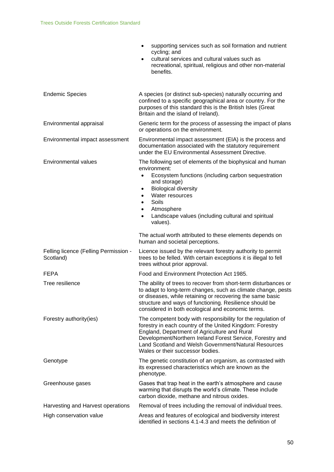|                                                    | supporting services such as soil formation and nutrient<br>$\bullet$<br>cycling; and<br>cultural services and cultural values such as<br>$\bullet$<br>recreational, spiritual, religious and other non-material<br>benefits.                                                                                                                                               |
|----------------------------------------------------|----------------------------------------------------------------------------------------------------------------------------------------------------------------------------------------------------------------------------------------------------------------------------------------------------------------------------------------------------------------------------|
| <b>Endemic Species</b>                             | A species (or distinct sub-species) naturally occurring and<br>confined to a specific geographical area or country. For the<br>purposes of this standard this is the British Isles (Great<br>Britain and the island of Ireland).                                                                                                                                           |
| Environmental appraisal                            | Generic term for the process of assessing the impact of plans<br>or operations on the environment.                                                                                                                                                                                                                                                                         |
| Environmental impact assessment                    | Environmental impact assessment (EIA) is the process and<br>documentation associated with the statutory requirement<br>under the EU Environmental Assessment Directive.                                                                                                                                                                                                    |
| Environmental values                               | The following set of elements of the biophysical and human<br>environment:<br>Ecosystem functions (including carbon sequestration<br>$\bullet$<br>and storage)<br><b>Biological diversity</b><br>$\bullet$<br>Water resources<br>$\bullet$<br>Soils<br>$\bullet$<br>Atmosphere<br>$\bullet$<br>Landscape values (including cultural and spiritual<br>$\bullet$<br>values). |
|                                                    | The actual worth attributed to these elements depends on<br>human and societal perceptions.                                                                                                                                                                                                                                                                                |
| Felling licence (Felling Permission -<br>Scotland) | Licence issued by the relevant forestry authority to permit<br>trees to be felled. With certain exceptions it is illegal to fell<br>trees without prior approval.                                                                                                                                                                                                          |
| <b>FEPA</b>                                        | Food and Environment Protection Act 1985.                                                                                                                                                                                                                                                                                                                                  |
| Tree resilience                                    | The ability of trees to recover from short-term disturbances or<br>to adapt to long-term changes, such as climate change, pests<br>or diseases, while retaining or recovering the same basic<br>structure and ways of functioning. Resilience should be<br>considered in both ecological and economic terms.                                                               |
| Forestry authority(ies)                            | The competent body with responsibility for the regulation of<br>forestry in each country of the United Kingdom: Forestry<br>England, Department of Agriculture and Rural<br>Development/Northern Ireland Forest Service, Forestry and<br>Land Scotland and Welsh Government/Natural Resources<br>Wales or their successor bodies.                                          |
| Genotype                                           | The genetic constitution of an organism, as contrasted with<br>its expressed characteristics which are known as the<br>phenotype.                                                                                                                                                                                                                                          |
| Greenhouse gases                                   | Gases that trap heat in the earth's atmosphere and cause<br>warming that disrupts the world's climate. These include<br>carbon dioxide, methane and nitrous oxides.                                                                                                                                                                                                        |
| Harvesting and Harvest operations                  | Removal of trees including the removal of individual trees.                                                                                                                                                                                                                                                                                                                |
| High conservation value                            | Areas and features of ecological and biodiversity interest<br>identified in sections 4.1-4.3 and meets the definition of                                                                                                                                                                                                                                                   |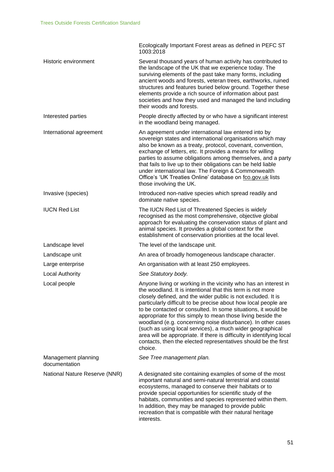|                                      | Ecologically Important Forest areas as defined in PEFC ST<br>1003:2018                                                                                                                                                                                                                                                                                                                                                                                                                                                                                                                                                                                                              |
|--------------------------------------|-------------------------------------------------------------------------------------------------------------------------------------------------------------------------------------------------------------------------------------------------------------------------------------------------------------------------------------------------------------------------------------------------------------------------------------------------------------------------------------------------------------------------------------------------------------------------------------------------------------------------------------------------------------------------------------|
| Historic environment                 | Several thousand years of human activity has contributed to<br>the landscape of the UK that we experience today. The<br>surviving elements of the past take many forms, including<br>ancient woods and forests, veteran trees, earthworks, ruined<br>structures and features buried below ground. Together these<br>elements provide a rich source of information about past<br>societies and how they used and managed the land including<br>their woods and forests.                                                                                                                                                                                                              |
| Interested parties                   | People directly affected by or who have a significant interest<br>in the woodland being managed.                                                                                                                                                                                                                                                                                                                                                                                                                                                                                                                                                                                    |
| International agreement              | An agreement under international law entered into by<br>sovereign states and international organisations which may<br>also be known as a treaty, protocol, covenant, convention,<br>exchange of letters, etc. It provides a means for willing<br>parties to assume obligations among themselves, and a party<br>that fails to live up to their obligations can be held liable<br>under international law. The Foreign & Commonwealth<br>Office's 'UK Treaties Online' database on fco.gov.uk lists<br>those involving the UK.                                                                                                                                                       |
| Invasive (species)                   | Introduced non-native species which spread readily and<br>dominate native species.                                                                                                                                                                                                                                                                                                                                                                                                                                                                                                                                                                                                  |
| <b>IUCN Red List</b>                 | The IUCN Red List of Threatened Species is widely<br>recognised as the most comprehensive, objective global<br>approach for evaluating the conservation status of plant and<br>animal species. It provides a global context for the<br>establishment of conservation priorities at the local level.                                                                                                                                                                                                                                                                                                                                                                                 |
| Landscape level                      | The level of the landscape unit.                                                                                                                                                                                                                                                                                                                                                                                                                                                                                                                                                                                                                                                    |
| Landscape unit                       | An area of broadly homogeneous landscape character.                                                                                                                                                                                                                                                                                                                                                                                                                                                                                                                                                                                                                                 |
| Large enterprise                     | An organisation with at least 250 employees.                                                                                                                                                                                                                                                                                                                                                                                                                                                                                                                                                                                                                                        |
| <b>Local Authority</b>               | See Statutory body.                                                                                                                                                                                                                                                                                                                                                                                                                                                                                                                                                                                                                                                                 |
| Local people                         | Anyone living or working in the vicinity who has an interest in<br>the woodland. It is intentional that this term is not more<br>closely defined, and the wider public is not excluded. It is<br>particularly difficult to be precise about how local people are<br>to be contacted or consulted. In some situations, it would be<br>appropriate for this simply to mean those living beside the<br>woodland (e.g. concerning noise disturbance). In other cases<br>(such as using local services), a much wider geographical<br>area will be appropriate. If there is difficulty in identifying local<br>contacts, then the elected representatives should be the first<br>choice. |
| Management planning<br>documentation | See Tree management plan.                                                                                                                                                                                                                                                                                                                                                                                                                                                                                                                                                                                                                                                           |
| National Nature Reserve (NNR)        | A designated site containing examples of some of the most<br>important natural and semi-natural terrestrial and coastal<br>ecosystems, managed to conserve their habitats or to<br>provide special opportunities for scientific study of the<br>habitats, communities and species represented within them.<br>In addition, they may be managed to provide public<br>recreation that is compatible with their natural heritage<br>interests.                                                                                                                                                                                                                                         |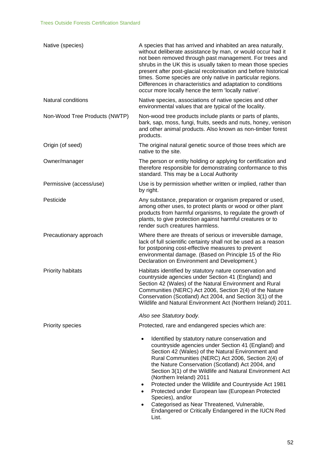| A species that has arrived and inhabited an area naturally,<br>without deliberate assistance by man, or would occur had it<br>not been removed through past management. For trees and<br>shrubs in the UK this is usually taken to mean those species<br>present after post-glacial recolonisation and before historical<br>times. Some species are only native in particular regions.<br>Differences in characteristics and adaptation to conditions<br>occur more locally hence the term 'locally native'.                                                                                                     |
|------------------------------------------------------------------------------------------------------------------------------------------------------------------------------------------------------------------------------------------------------------------------------------------------------------------------------------------------------------------------------------------------------------------------------------------------------------------------------------------------------------------------------------------------------------------------------------------------------------------|
| Native species, associations of native species and other<br>environmental values that are typical of the locality.                                                                                                                                                                                                                                                                                                                                                                                                                                                                                               |
| Non-wood tree products include plants or parts of plants,<br>bark, sap, moss, fungi, fruits, seeds and nuts, honey, venison<br>and other animal products. Also known as non-timber forest<br>products.                                                                                                                                                                                                                                                                                                                                                                                                           |
| The original natural genetic source of those trees which are<br>native to the site.                                                                                                                                                                                                                                                                                                                                                                                                                                                                                                                              |
| The person or entity holding or applying for certification and<br>therefore responsible for demonstrating conformance to this<br>standard. This may be a Local Authority                                                                                                                                                                                                                                                                                                                                                                                                                                         |
| Use is by permission whether written or implied, rather than<br>by right.                                                                                                                                                                                                                                                                                                                                                                                                                                                                                                                                        |
| Any substance, preparation or organism prepared or used,<br>among other uses, to protect plants or wood or other plant<br>products from harmful organisms, to regulate the growth of<br>plants, to give protection against harmful creatures or to<br>render such creatures harmless.                                                                                                                                                                                                                                                                                                                            |
| Where there are threats of serious or irreversible damage,<br>lack of full scientific certainty shall not be used as a reason<br>for postponing cost-effective measures to prevent<br>environmental damage. (Based on Principle 15 of the Rio<br>Declaration on Environment and Development.)                                                                                                                                                                                                                                                                                                                    |
| Habitats identified by statutory nature conservation and<br>countryside agencies under Section 41 (England) and<br>Section 42 (Wales) of the Natural Environment and Rural<br>Communities (NERC) Act 2006, Section 2(4) of the Nature<br>Conservation (Scotland) Act 2004, and Section 3(1) of the<br>Wildlife and Natural Environment Act (Northern Ireland) 2011.                                                                                                                                                                                                                                              |
| Also see Statutory body.                                                                                                                                                                                                                                                                                                                                                                                                                                                                                                                                                                                         |
| Protected, rare and endangered species which are:                                                                                                                                                                                                                                                                                                                                                                                                                                                                                                                                                                |
| Identified by statutory nature conservation and<br>$\bullet$<br>countryside agencies under Section 41 (England) and<br>Section 42 (Wales) of the Natural Environment and<br>Rural Communities (NERC) Act 2006, Section 2(4) of<br>the Nature Conservation (Scotland) Act 2004, and<br>Section 3(1) of the Wildlife and Natural Environment Act<br>(Northern Ireland) 2011<br>Protected under the Wildlife and Countryside Act 1981<br>Protected under European law (European Protected<br>Species), and/or<br>Categorised as Near Threatened, Vulnerable,<br>Endangered or Critically Endangered in the IUCN Red |
|                                                                                                                                                                                                                                                                                                                                                                                                                                                                                                                                                                                                                  |

List.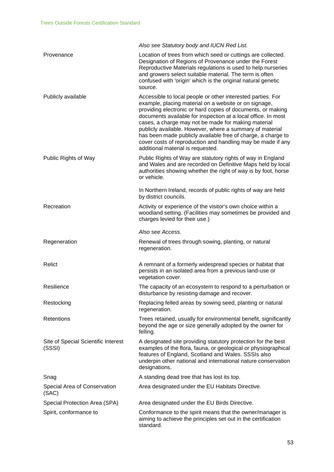|                                               | Also see Statutory body and IUCN Red List.                                                                                                                                                                                                                                                                                                                                                                                                                                                                                                  |
|-----------------------------------------------|---------------------------------------------------------------------------------------------------------------------------------------------------------------------------------------------------------------------------------------------------------------------------------------------------------------------------------------------------------------------------------------------------------------------------------------------------------------------------------------------------------------------------------------------|
| Provenance                                    | Location of trees from which seed or cuttings are collected.<br>Designation of Regions of Provenance under the Forest<br>Reproductive Materials regulations is used to help nurseries<br>and growers select suitable material. The term is often<br>confused with 'origin' which is the original natural genetic<br>source.                                                                                                                                                                                                                 |
| Publicly available                            | Accessible to local people or other interested parties. For<br>example, placing material on a website or on signage,<br>providing electronic or hard copies of documents, or making<br>documents available for inspection at a local office. In most<br>cases, a charge may not be made for making material<br>publicly available. However, where a summary of material<br>has been made publicly available free of charge, a charge to<br>cover costs of reproduction and handling may be made if any<br>additional material is requested. |
| Public Rights of Way                          | Public Rights of Way are statutory rights of way in England<br>and Wales and are recorded on Definitive Maps held by local<br>authorities showing whether the right of way is by foot, horse<br>or vehicle.                                                                                                                                                                                                                                                                                                                                 |
|                                               | In Northern Ireland, records of public rights of way are held<br>by district councils.                                                                                                                                                                                                                                                                                                                                                                                                                                                      |
| Recreation                                    | Activity or experience of the visitor's own choice within a<br>woodland setting. (Facilities may sometimes be provided and<br>charges levied for their use.)                                                                                                                                                                                                                                                                                                                                                                                |
|                                               | Also see Access.                                                                                                                                                                                                                                                                                                                                                                                                                                                                                                                            |
| Regeneration                                  | Renewal of trees through sowing, planting, or natural<br>regeneration.                                                                                                                                                                                                                                                                                                                                                                                                                                                                      |
| Relict                                        | A remnant of a formerly widespread species or habitat that<br>persists in an isolated area from a previous land-use or<br>vegetation cover.                                                                                                                                                                                                                                                                                                                                                                                                 |
| Resilience                                    | The capacity of an ecosystem to respond to a perturbation or<br>disturbance by resisting damage and recover.                                                                                                                                                                                                                                                                                                                                                                                                                                |
| Restocking                                    | Replacing felled areas by sowing seed, planting or natural<br>regeneration.                                                                                                                                                                                                                                                                                                                                                                                                                                                                 |
| Retentions                                    | Trees retained, usually for environmental benefit, significantly<br>beyond the age or size generally adopted by the owner for<br>felling.                                                                                                                                                                                                                                                                                                                                                                                                   |
| Site of Special Scientific Interest<br>(SSSI) | A designated site providing statutory protection for the best<br>examples of the flora, fauna, or geological or physiographical<br>features of England, Scotland and Wales. SSSIs also<br>underpin other national and international nature conservation<br>designations.                                                                                                                                                                                                                                                                    |
| Snag                                          | A standing dead tree that has lost its top.                                                                                                                                                                                                                                                                                                                                                                                                                                                                                                 |
| Special Area of Conservation<br>(SAC)         | Area designated under the EU Habitats Directive.                                                                                                                                                                                                                                                                                                                                                                                                                                                                                            |
| Special Protection Area (SPA)                 | Area designated under the EU Birds Directive.                                                                                                                                                                                                                                                                                                                                                                                                                                                                                               |
| Spirit, conformance to                        | Conformance to the spirit means that the owner/manager is<br>aiming to achieve the principles set out in the certification<br>standard.                                                                                                                                                                                                                                                                                                                                                                                                     |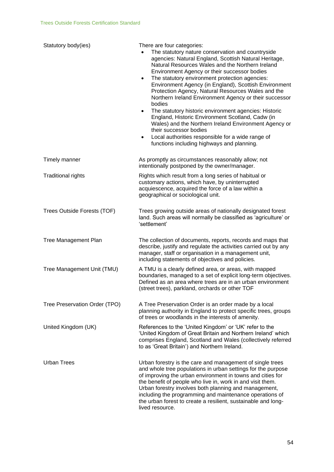| Statutory body(ies)           | There are four categories:<br>The statutory nature conservation and countryside<br>agencies: Natural England, Scottish Natural Heritage,<br>Natural Resources Wales and the Northern Ireland<br>Environment Agency or their successor bodies<br>The statutory environment protection agencies:<br>$\bullet$<br>Environment Agency (in England), Scottish Environment<br>Protection Agency, Natural Resources Wales and the<br>Northern Ireland Environment Agency or their successor<br>bodies<br>The statutory historic environment agencies: Historic<br>$\bullet$<br>England, Historic Environment Scotland, Cadw (in<br>Wales) and the Northern Ireland Environment Agency or<br>their successor bodies<br>Local authorities responsible for a wide range of<br>$\bullet$<br>functions including highways and planning. |
|-------------------------------|-----------------------------------------------------------------------------------------------------------------------------------------------------------------------------------------------------------------------------------------------------------------------------------------------------------------------------------------------------------------------------------------------------------------------------------------------------------------------------------------------------------------------------------------------------------------------------------------------------------------------------------------------------------------------------------------------------------------------------------------------------------------------------------------------------------------------------|
| Timely manner                 | As promptly as circumstances reasonably allow; not<br>intentionally postponed by the owner/manager.                                                                                                                                                                                                                                                                                                                                                                                                                                                                                                                                                                                                                                                                                                                         |
| <b>Traditional rights</b>     | Rights which result from a long series of habitual or<br>customary actions, which have, by uninterrupted<br>acquiescence, acquired the force of a law within a<br>geographical or sociological unit.                                                                                                                                                                                                                                                                                                                                                                                                                                                                                                                                                                                                                        |
| Trees Outside Forests (TOF)   | Trees growing outside areas of nationally designated forest<br>land. Such areas will normally be classified as 'agriculture' or<br>'settlement'                                                                                                                                                                                                                                                                                                                                                                                                                                                                                                                                                                                                                                                                             |
| <b>Tree Management Plan</b>   | The collection of documents, reports, records and maps that<br>describe, justify and regulate the activities carried out by any<br>manager, staff or organisation in a management unit,<br>including statements of objectives and policies.                                                                                                                                                                                                                                                                                                                                                                                                                                                                                                                                                                                 |
| Tree Management Unit (TMU)    | A TMU is a clearly defined area, or areas, with mapped<br>boundaries, managed to a set of explicit long-term objectives.<br>Defined as an area where trees are in an urban environment<br>(street trees), parkland, orchards or other TOF                                                                                                                                                                                                                                                                                                                                                                                                                                                                                                                                                                                   |
| Tree Preservation Order (TPO) | A Tree Preservation Order is an order made by a local<br>planning authority in England to protect specific trees, groups<br>of trees or woodlands in the interests of amenity.                                                                                                                                                                                                                                                                                                                                                                                                                                                                                                                                                                                                                                              |
| United Kingdom (UK)           | References to the 'United Kingdom' or 'UK' refer to the<br>'United Kingdom of Great Britain and Northern Ireland' which<br>comprises England, Scotland and Wales (collectively referred<br>to as 'Great Britain') and Northern Ireland.                                                                                                                                                                                                                                                                                                                                                                                                                                                                                                                                                                                     |
| <b>Urban Trees</b>            | Urban forestry is the care and management of single trees<br>and whole tree populations in urban settings for the purpose<br>of improving the urban environment in towns and cities for<br>the benefit of people who live in, work in and visit them.<br>Urban forestry involves both planning and management,<br>including the programming and maintenance operations of<br>the urban forest to create a resilient, sustainable and long-<br>lived resource.                                                                                                                                                                                                                                                                                                                                                               |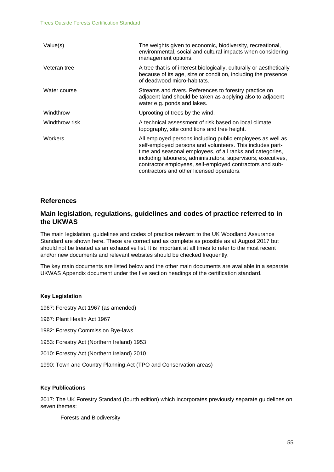| Value(s)       | The weights given to economic, biodiversity, recreational,<br>environmental, social and cultural impacts when considering<br>management options.                                                                                                                                                                                                               |
|----------------|----------------------------------------------------------------------------------------------------------------------------------------------------------------------------------------------------------------------------------------------------------------------------------------------------------------------------------------------------------------|
| Veteran tree   | A tree that is of interest biologically, culturally or aesthetically<br>because of its age, size or condition, including the presence<br>of deadwood micro-habitats.                                                                                                                                                                                           |
| Water course   | Streams and rivers. References to forestry practice on<br>adjacent land should be taken as applying also to adjacent<br>water e.g. ponds and lakes.                                                                                                                                                                                                            |
| Windthrow      | Uprooting of trees by the wind.                                                                                                                                                                                                                                                                                                                                |
| Windthrow risk | A technical assessment of risk based on local climate,<br>topography, site conditions and tree height.                                                                                                                                                                                                                                                         |
| Workers        | All employed persons including public employees as well as<br>self-employed persons and volunteers. This includes part-<br>time and seasonal employees, of all ranks and categories,<br>including labourers, administrators, supervisors, executives,<br>contractor employees, self-employed contractors and sub-<br>contractors and other licensed operators. |

### **References**

## **Main legislation, regulations, guidelines and codes of practice referred to in the UKWAS**

The main legislation, guidelines and codes of practice relevant to the UK Woodland Assurance Standard are shown here. These are correct and as complete as possible as at August 2017 but should not be treated as an exhaustive list. It is important at all times to refer to the most recent and/or new documents and relevant websites should be checked frequently.

The key main documents are listed below and the other main documents are available in a separate UKWAS Appendix document under the five section headings of the certification standard.

#### **Key Legislation**

- 1967: Forestry Act 1967 (as amended)
- 1967: Plant Health Act 1967
- 1982: Forestry Commission Bye-laws
- 1953: Forestry Act (Northern Ireland) 1953
- 2010: Forestry Act (Northern Ireland) 2010
- 1990: Town and Country Planning Act (TPO and Conservation areas)

#### **Key Publications**

2017: The UK Forestry Standard (fourth edition) which incorporates previously separate guidelines on seven themes:

Forests and Biodiversity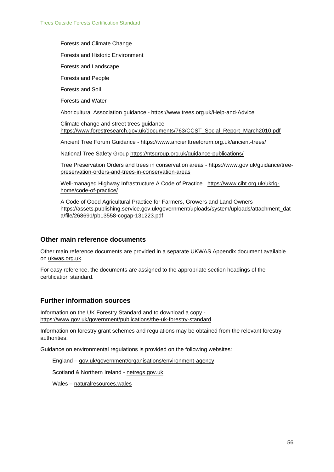Forests and Climate Change

Forests and Historic Environment

Forests and Landscape

Forests and People

Forests and Soil

Forests and Water

Aboricultural Association guidance - [https://www.trees.org.uk/Help-and-Advice](about:blank)

Climate change and street trees guidance [https://www.forestresearch.gov.uk/documents/763/CCST\\_Social\\_Report\\_March2010.pdf](about:blank)

Ancient Tree Forum Guidance - [https://www.ancienttreeforum.org.uk/ancient-trees/](about:blank)

National Tree Safety Group [https://ntsgroup.org.uk/guidance-publications/](about:blank)

Tree Preservation Orders and trees in conservation areas - [https://www.gov.uk/guidance/tree](about:blank)[preservation-orders-and-trees-in-conservation-areas](about:blank)

Well-managed Highway Infrastructure A Code of Practice [https://www.ciht.org.uk/ukrlg](about:blank)[home/code-of-practice/](about:blank)

A Code of Good Agricultural Practice for Farmers, Growers and Land Owners https://assets.publishing.service.gov.uk/government/uploads/system/uploads/attachment\_dat a/file/268691/pb13558-cogap-131223.pdf

### **Other main reference documents**

Other main reference documents are provided in a separate UKWAS Appendix document available on [ukwas.org.uk.](about:blank)

For easy reference, the documents are assigned to the appropriate section headings of the certification standard.

## **Further information sources**

Information on the UK Forestry Standard and to download a copy https://www.gov.uk/government/publications/the-uk-forestry-standard

Information on forestry grant schemes and regulations may be obtained from the relevant forestry authorities.

Guidance on environmental regulations is provided on the following websites:

England – [gov.uk/government/organisations/environment-agency](about:blank)

Scotland & Northern Ireland - [netregs.gov.uk](about:blank)

Wales – [naturalresources.wales](about:blank)